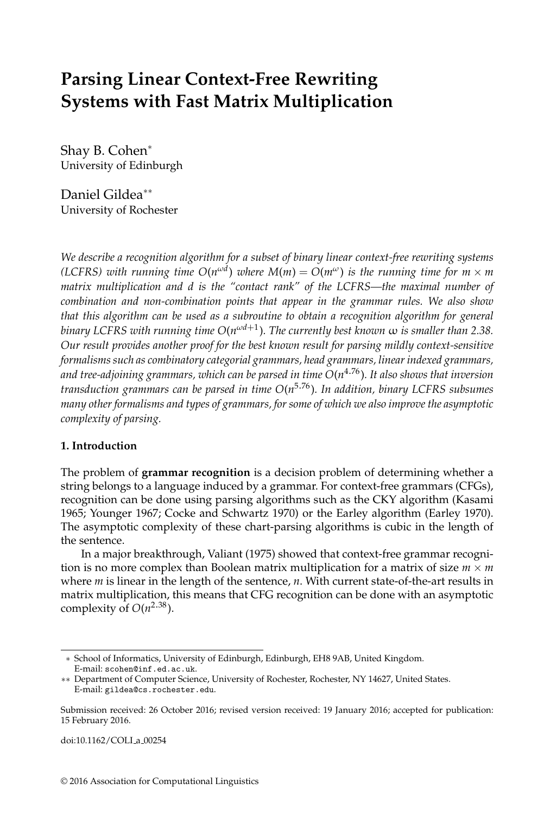# **Parsing Linear Context-Free Rewriting Systems with Fast Matrix Multiplication**

Shay B. Cohen<sup>∗</sup> University of Edinburgh

Daniel Gildea∗∗ University of Rochester

*We describe a recognition algorithm for a subset of binary linear context-free rewriting systems (LCFRS) with running time*  $O(n^{\omega d})$  *where*  $M(m) = O(m^{\omega})$  *is the running time for*  $m \times m$ *matrix multiplication and d is the "contact rank" of the LCFRS—the maximal number of combination and non-combination points that appear in the grammar rules. We also show that this algorithm can be used as a subroutine to obtain a recognition algorithm for general binary LCFRS with running time O*(*n ωd*+1 )*. The currently best known* ω *is smaller than 2.38. Our result provides another proof for the best known result for parsing mildly context-sensitive formalisms such as combinatory categorial grammars, head grammars, linear indexed grammars, and tree-adjoining grammars, which can be parsed in time O*(*n* <sup>4</sup>.76)*. It also shows that inversion transduction grammars can be parsed in time O*(*n* <sup>5</sup>.76)*. In addition, binary LCFRS subsumes many other formalisms and types of grammars, for some of which we also improve the asymptotic complexity of parsing.*

## **1. Introduction**

The problem of **grammar recognition** is a decision problem of determining whether a string belongs to a language induced by a grammar. For context-free grammars (CFGs), recognition can be done using parsing algorithms such as the CKY algorithm (Kasami 1965; Younger 1967; Cocke and Schwartz 1970) or the Earley algorithm (Earley 1970). The asymptotic complexity of these chart-parsing algorithms is cubic in the length of the sentence.

In a major breakthrough, Valiant (1975) showed that context-free grammar recognition is no more complex than Boolean matrix multiplication for a matrix of size  $m \times m$ where *m* is linear in the length of the sentence, *n*. With current state-of-the-art results in matrix multiplication, this means that CFG recognition can be done with an asymptotic complexity of  $O(n^{2.38})$ .

doi:10.1162/COLI a 00254

<sup>∗</sup> School of Informatics, University of Edinburgh, Edinburgh, EH8 9AB, United Kingdom. E-mail: scohen@inf.ed.ac.uk.

<sup>∗∗</sup> Department of Computer Science, University of Rochester, Rochester, NY 14627, United States. E-mail: gildea@cs.rochester.edu.

Submission received: 26 October 2016; revised version received: 19 January 2016; accepted for publication: 15 February 2016.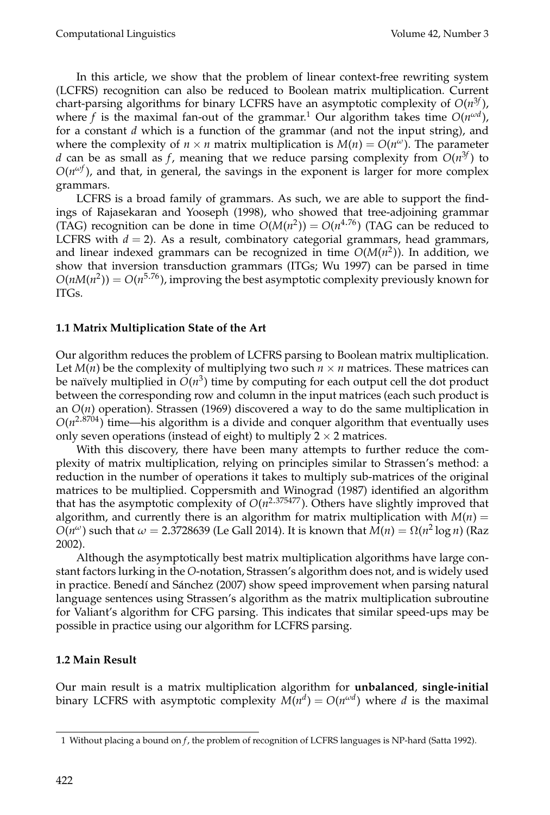In this article, we show that the problem of linear context-free rewriting system (LCFRS) recognition can also be reduced to Boolean matrix multiplication. Current chart-parsing algorithms for binary LCFRS have an asymptotic complexity of *O*(*n* 3*f* ), where f is the maximal fan-out of the grammar.<sup>1</sup> Our algorithm takes time  $O(n^{\omega d})$ , for a constant *d* which is a function of the grammar (and not the input string), and where the complexity of  $n \times n$  matrix multiplication is  $M(n) = O(n^{\omega})$ . The parameter *d* can be as small as *f*, meaning that we reduce parsing complexity from  $O(n^{3f})$  to  $O(n^{\omega f})$ , and that, in general, the savings in the exponent is larger for more complex grammars.

LCFRS is a broad family of grammars. As such, we are able to support the findings of Rajasekaran and Yooseph (1998), who showed that tree-adjoining grammar (TAG) recognition can be done in time  $O(M(n^2)) = O(n^{4.76})$  (TAG can be reduced to LCFRS with  $d = 2$ ). As a result, combinatory categorial grammars, head grammars, and linear indexed grammars can be recognized in time *O*(*M*(*n* 2 )). In addition, we show that inversion transduction grammars (ITGs; Wu 1997) can be parsed in time  $O(nM(n^2)) = O(n^{5.76})$ , improving the best asymptotic complexity previously known for ITGs.

#### **1.1 Matrix Multiplication State of the Art**

Our algorithm reduces the problem of LCFRS parsing to Boolean matrix multiplication. Let  $M(n)$  be the complexity of multiplying two such  $n \times n$  matrices. These matrices can be naïvely multiplied in  $O(n^3)$  time by computing for each output cell the dot product between the corresponding row and column in the input matrices (each such product is an  $O(n)$  operation). Strassen (1969) discovered a way to do the same multiplication in  $O(n^{2.8704})$  time—his algorithm is a divide and conquer algorithm that eventually uses only seven operations (instead of eight) to multiply  $2 \times 2$  matrices.

With this discovery, there have been many attempts to further reduce the complexity of matrix multiplication, relying on principles similar to Strassen's method: a reduction in the number of operations it takes to multiply sub-matrices of the original matrices to be multiplied. Coppersmith and Winograd (1987) identified an algorithm that has the asymptotic complexity of *O*(*n* <sup>2</sup>.375477). Others have slightly improved that algorithm, and currently there is an algorithm for matrix multiplication with  $M(n)$  =  $O(n^{\omega})$  such that  $\omega = 2.3728639$  (Le Gall 2014). It is known that  $M(n) = \Omega(n^2 \log n)$  (Raz 2002).

Although the asymptotically best matrix multiplication algorithms have large constant factors lurking in the *O*-notation, Strassen's algorithm does not, and is widely used in practice. Benedí and Sánchez (2007) show speed improvement when parsing natural language sentences using Strassen's algorithm as the matrix multiplication subroutine for Valiant's algorithm for CFG parsing. This indicates that similar speed-ups may be possible in practice using our algorithm for LCFRS parsing.

## **1.2 Main Result**

Our main result is a matrix multiplication algorithm for **unbalanced**, **single-initial** binary LCFRS with asymptotic complexity  $M(n^d) = O(n^{\omega d})$  where *d* is the maximal

<sup>1</sup> Without placing a bound on *f*, the problem of recognition of LCFRS languages is NP-hard (Satta 1992).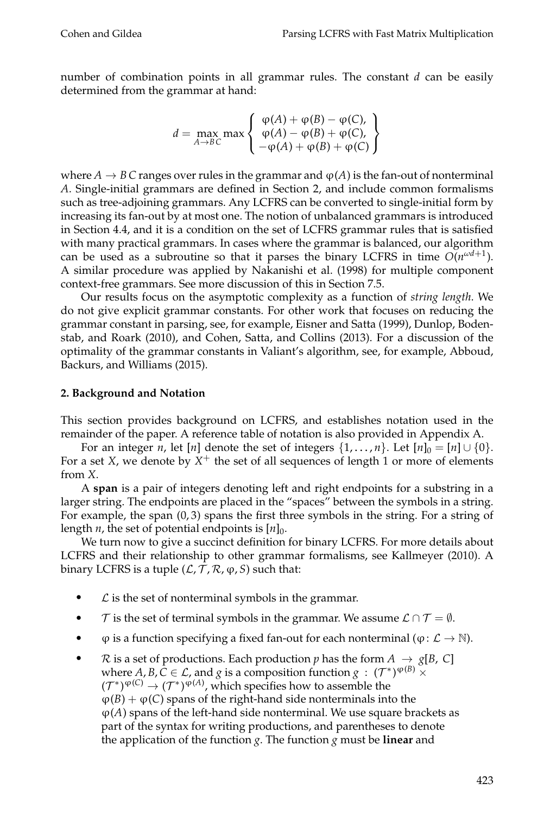number of combination points in all grammar rules. The constant *d* can be easily determined from the grammar at hand:

$$
d = \max_{A \to BC} \max \left\{ \begin{array}{l} \varphi(A) + \varphi(B) - \varphi(C), \\ \varphi(A) - \varphi(B) + \varphi(C), \\ -\varphi(A) + \varphi(B) + \varphi(C) \end{array} \right\}
$$

where  $A \to B C$  ranges over rules in the grammar and  $\varphi(A)$  is the fan-out of nonterminal *A*. Single-initial grammars are defined in Section 2, and include common formalisms such as tree-adjoining grammars. Any LCFRS can be converted to single-initial form by increasing its fan-out by at most one. The notion of unbalanced grammars is introduced in Section 4.4, and it is a condition on the set of LCFRS grammar rules that is satisfied with many practical grammars. In cases where the grammar is balanced, our algorithm can be used as a subroutine so that it parses the binary LCFRS in time  $O(n^{\omega d+1})$ . A similar procedure was applied by Nakanishi et al. (1998) for multiple component context-free grammars. See more discussion of this in Section 7.5.

Our results focus on the asymptotic complexity as a function of *string length*. We do not give explicit grammar constants. For other work that focuses on reducing the grammar constant in parsing, see, for example, Eisner and Satta (1999), Dunlop, Bodenstab, and Roark (2010), and Cohen, Satta, and Collins (2013). For a discussion of the optimality of the grammar constants in Valiant's algorithm, see, for example, Abboud, Backurs, and Williams (2015).

#### **2. Background and Notation**

This section provides background on LCFRS, and establishes notation used in the remainder of the paper. A reference table of notation is also provided in Appendix A.

For an integer *n*, let [*n*] denote the set of integers  $\{1, \ldots, n\}$ . Let  $[n]_0 = [n] \cup \{0\}$ . For a set *X*, we denote by  $X^+$  the set of all sequences of length 1 or more of elements from *X*.

A **span** is a pair of integers denoting left and right endpoints for a substring in a larger string. The endpoints are placed in the "spaces" between the symbols in a string. For example, the span  $(0, 3)$  spans the first three symbols in the string. For a string of length  $n$ , the set of potential endpoints is  $[n]_0$ .

We turn now to give a succinct definition for binary LCFRS. For more details about LCFRS and their relationship to other grammar formalisms, see Kallmeyer (2010). A binary LCFRS is a tuple  $(L, T, R, \varphi, S)$  such that:

- $\mathcal L$  is the set of nonterminal symbols in the grammar.
- $\tau$  is the set of terminal symbols in the grammar. We assume  $\mathcal{L} \cap \mathcal{T} = \emptyset$ .
- $\varphi$  is a function specifying a fixed fan-out for each nonterminal ( $\varphi: \mathcal{L} \to \mathbb{N}$ ).
- $\mathcal{R}$  is a set of productions. Each production *p* has the form  $A \rightarrow g[B, C]$ where  $A, B, C \in \mathcal{L}$ , and *g* is a composition function  $g : (\mathcal{T}^*)^{\phi(B)} \times$  $({\cal T}^{*})^{\phi(C)} \to ({\cal T}^{*})^{\phi(A)}$ , which specifies how to assemble the  $\varphi(B) + \varphi(C)$  spans of the right-hand side nonterminals into the  $\varphi(A)$  spans of the left-hand side nonterminal. We use square brackets as part of the syntax for writing productions, and parentheses to denote the application of the function *g*. The function *g* must be **linear** and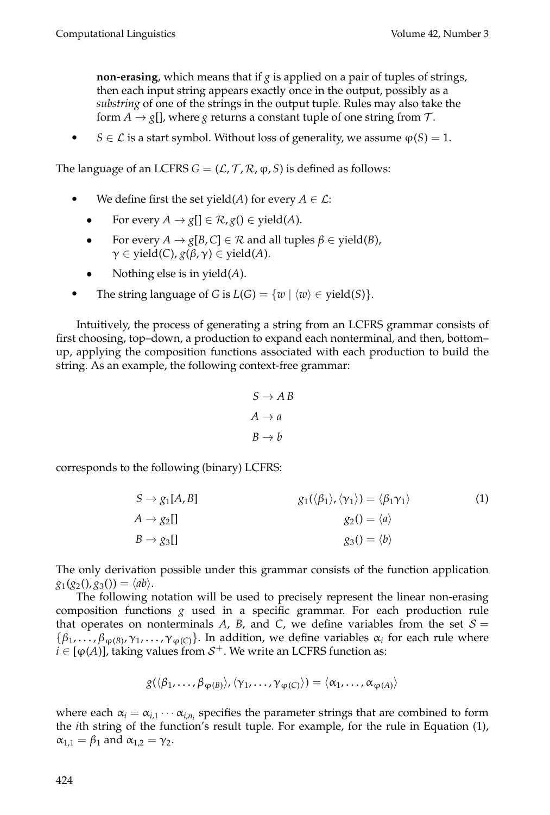**non-erasing**, which means that if *g* is applied on a pair of tuples of strings, then each input string appears exactly once in the output, possibly as a *substring* of one of the strings in the output tuple. Rules may also take the form  $A \rightarrow g$ [], where *g* returns a constant tuple of one string from  $\mathcal{T}$ .

• *S* ∈ *L* is a start symbol. Without loss of generality, we assume  $φ(S) = 1$ .

The language of an LCFRS  $G = (L, T, R, \varphi, S)$  is defined as follows:

- We define first the set yield(*A*) for every  $A \in \mathcal{L}$ :
	- For every  $A \to g[\ ] \in \mathcal{R}, g(\ ) \in \text{yield}(A).$
	- For every  $A \to g[B, C] \in \mathcal{R}$  and all tuples  $\beta \in \text{yield}(B)$ ,  $\gamma \in \text{yield}(C)$ ,  $g(\beta, \gamma) \in \text{yield}(A)$ .
	- Nothing else is in yield(*A*).
- The string language of *G* is  $L(G) = \{w \mid \langle w \rangle \in \text{yield}(S)\}.$

Intuitively, the process of generating a string from an LCFRS grammar consists of first choosing, top–down, a production to expand each nonterminal, and then, bottom– up, applying the composition functions associated with each production to build the string. As an example, the following context-free grammar:

$$
S \to AB
$$
  

$$
A \to a
$$
  

$$
B \to b
$$

corresponds to the following (binary) LCFRS:

$$
S \to g_1[A, B] \qquad \qquad g_1(\langle \beta_1 \rangle, \langle \gamma_1 \rangle) = \langle \beta_1 \gamma_1 \rangle \qquad (1)
$$
  
\n
$$
A \to g_2[I] \qquad \qquad g_2() = \langle a \rangle
$$
  
\n
$$
B \to g_3[I] \qquad \qquad g_3() = \langle b \rangle
$$

The only derivation possible under this grammar consists of the function application  $g_1(g_2(), g_3()) = \langle ab \rangle.$ 

The following notation will be used to precisely represent the linear non-erasing composition functions *g* used in a specific grammar. For each production rule that operates on nonterminals  $A$ ,  $B$ , and  $C$ , we define variables from the set  $S =$  $\{\beta_1,\ldots,\beta_{\phi(B)},\gamma_1,\ldots,\gamma_{\phi(C)}\}$ . In addition, we define variables  $\alpha_i$  for each rule where  $i \in [\phi(A)]$ , taking values from  $S^+$ . We write an LCFRS function as:

$$
g(\langle \beta_1,\ldots,\beta_{\phi(B)}\rangle,\langle \gamma_1,\ldots,\gamma_{\phi(C)}\rangle)=\langle \alpha_1,\ldots,\alpha_{\phi(A)}\rangle
$$

where each  $\alpha_i = \alpha_{i,1} \cdots \alpha_{i,n_i}$  specifies the parameter strings that are combined to form the *i*th string of the function's result tuple. For example, for the rule in Equation (1),  $\alpha_{1,1} = \beta_1$  and  $\alpha_{1,2} = \gamma_2$ .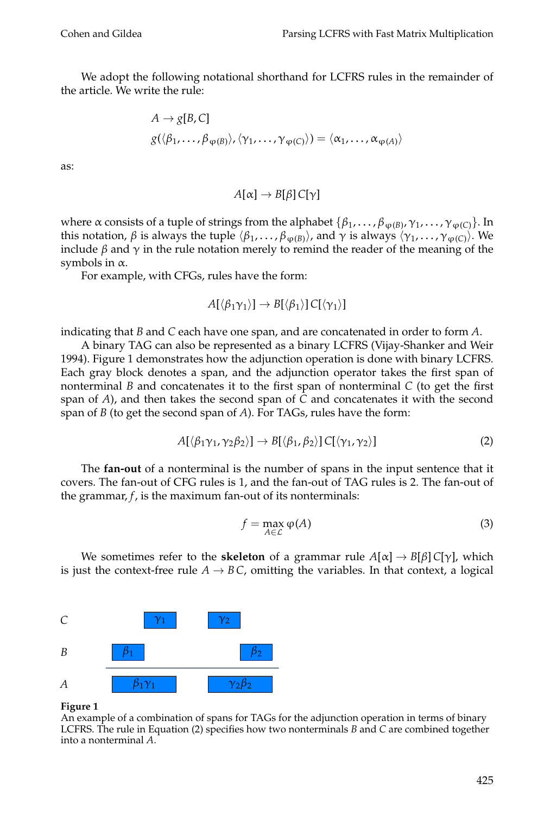We adopt the following notational shorthand for LCFRS rules in the remainder of the article. We write the rule:

$$
A \to g[B, C]
$$
  

$$
g(\langle \beta_1, \ldots, \beta_{\varphi(B)} \rangle, \langle \gamma_1, \ldots, \gamma_{\varphi(C)} \rangle) = \langle \alpha_1, \ldots, \alpha_{\varphi(A)} \rangle
$$

as:

$$
A[\alpha]\to B[\beta]\,C[\gamma]
$$

where  $\alpha$  consists of a tuple of strings from the alphabet  $\{\beta_1,\ldots,\beta_{\phi(B)},\gamma_1,\ldots,\gamma_{\phi(C)}\}$ . In this notation, *β* is always the tuple  $\langle β_1, \ldots, β_{\phi(B)} \rangle$ , and  $\gamma$  is always  $\langle γ_1, \ldots, γ_{\phi(C)} \rangle$ . We include  $\beta$  and  $\gamma$  in the rule notation merely to remind the reader of the meaning of the symbols in  $\alpha$ .

For example, with CFGs, rules have the form:

$$
A[\langle \beta_1 \gamma_1 \rangle] \to B[\langle \beta_1 \rangle] C[\langle \gamma_1 \rangle]
$$

indicating that *B* and *C* each have one span, and are concatenated in order to form *A*.

A binary TAG can also be represented as a binary LCFRS (Vijay-Shanker and Weir 1994). Figure 1 demonstrates how the adjunction operation is done with binary LCFRS. Each gray block denotes a span, and the adjunction operator takes the first span of nonterminal *B* and concatenates it to the first span of nonterminal *C* (to get the first span of *A*), and then takes the second span of *C* and concatenates it with the second span of *B* (to get the second span of *A*). For TAGs, rules have the form:

$$
A[\langle \beta_1 \gamma_1, \gamma_2 \beta_2 \rangle] \to B[\langle \beta_1, \beta_2 \rangle] C[\langle \gamma_1, \gamma_2 \rangle]
$$
 (2)

The **fan-out** of a nonterminal is the number of spans in the input sentence that it covers. The fan-out of CFG rules is 1, and the fan-out of TAG rules is 2. The fan-out of the grammar,  $f$ , is the maximum fan-out of its nonterminals:

$$
f = \max_{A \in \mathcal{L}} \varphi(A) \tag{3}
$$

We sometimes refer to the **skeleton** of a grammar rule  $A[\alpha] \rightarrow B[\beta] C[\gamma]$ , which is just the context-free rule  $A \rightarrow BC$ , omitting the variables. In that context, a logical



#### **Figure 1**

An example of a combination of spans for TAGs for the adjunction operation in terms of binary LCFRS. The rule in Equation (2) specifies how two nonterminals *B* and *C* are combined together into a nonterminal *A*.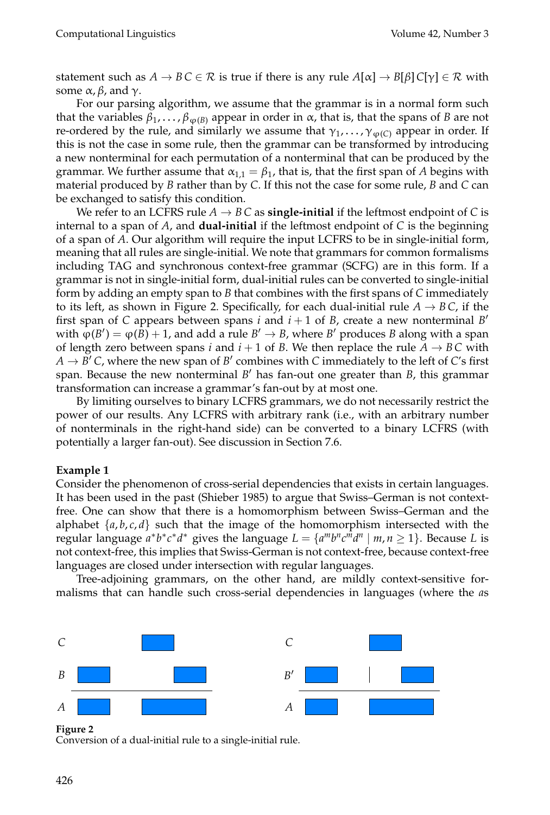statement such as  $A \to BC \in \mathcal{R}$  is true if there is any rule  $A[\alpha] \to B[\beta] C[\gamma] \in \mathcal{R}$  with some  $\alpha$ ,  $\beta$ , and  $\gamma$ .

For our parsing algorithm, we assume that the grammar is in a normal form such that the variables  $\beta_1, \ldots, \beta_{\phi(B)}$  appear in order in  $\alpha$ , that is, that the spans of *B* are not re-ordered by the rule, and similarly we assume that  $\gamma_1, \ldots, \gamma_{\varphi(C)}$  appear in order. If this is not the case in some rule, then the grammar can be transformed by introducing a new nonterminal for each permutation of a nonterminal that can be produced by the grammar. We further assume that  $\alpha_{1,1} = \beta_1$ , that is, that the first span of A begins with material produced by *B* rather than by *C*. If this not the case for some rule, *B* and *C* can be exchanged to satisfy this condition.

We refer to an LCFRS rule  $A \rightarrow BC$  as **single-initial** if the leftmost endpoint of C is internal to a span of *A*, and **dual-initial** if the leftmost endpoint of *C* is the beginning of a span of *A*. Our algorithm will require the input LCFRS to be in single-initial form, meaning that all rules are single-initial. We note that grammars for common formalisms including TAG and synchronous context-free grammar (SCFG) are in this form. If a grammar is not in single-initial form, dual-initial rules can be converted to single-initial form by adding an empty span to *B* that combines with the first spans of *C* immediately to its left, as shown in Figure 2. Specifically, for each dual-initial rule  $A \rightarrow BC$ , if the first span of *C* appears between spans *i* and  $i + 1$  of *B*, create a new nonterminal *B*<sup>'</sup> with  $\hat{\varphi}(B') = \varphi(\hat{B}) + 1$ , and add a rule  $B' \to B$ , where  $B'$  produces  $B$  along with a span of length zero between spans *i* and  $i + 1$  of *B*. We then replace the rule  $A \rightarrow BC$  with  $A \rightarrow B'$  *C*, where the new span of  $B'$  combines with *C* immediately to the left of *C*'s first span. Because the new nonterminal *B*<sup>'</sup> has fan-out one greater than *B*, this grammar transformation can increase a grammar's fan-out by at most one.

By limiting ourselves to binary LCFRS grammars, we do not necessarily restrict the power of our results. Any LCFRS with arbitrary rank (i.e., with an arbitrary number of nonterminals in the right-hand side) can be converted to a binary LCFRS (with potentially a larger fan-out). See discussion in Section 7.6.

#### **Example 1**

Consider the phenomenon of cross-serial dependencies that exists in certain languages. It has been used in the past (Shieber 1985) to argue that Swiss–German is not contextfree. One can show that there is a homomorphism between Swiss–German and the alphabet  $\{a, b, c, d\}$  such that the image of the homomorphism intersected with the *regular language*  $a^*b^*c^*d^*$  gives the language  $L = \{a^m b^n c^m d^n \mid m, n \ge 1\}$ . Because *L* is not context-free, this implies that Swiss-German is not context-free, because context-free languages are closed under intersection with regular languages.

Tree-adjoining grammars, on the other hand, are mildly context-sensitive formalisms that can handle such cross-serial dependencies in languages (where the *a*s



**Figure 2**

Conversion of a dual-initial rule to a single-initial rule.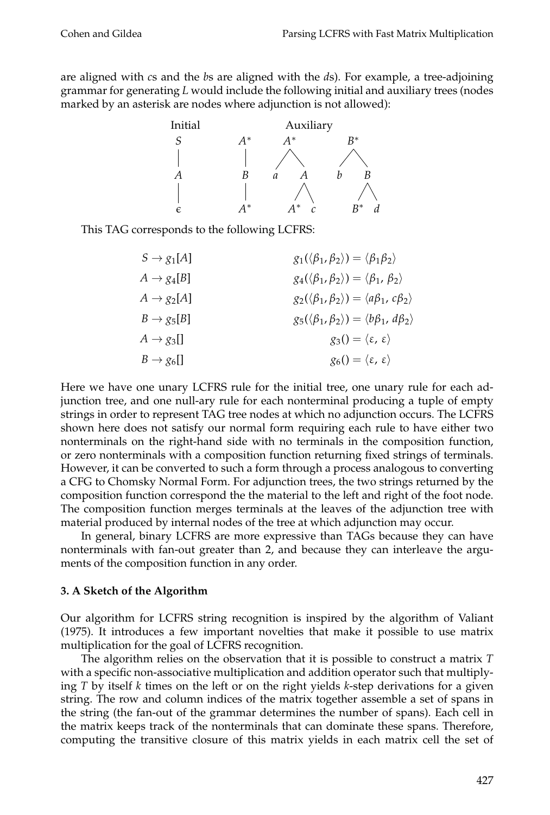are aligned with *c*s and the *b*s are aligned with the *d*s). For example, a tree-adjoining grammar for generating *L* would include the following initial and auxiliary trees (nodes marked by an asterisk are nodes where adjunction is not allowed):



This TAG corresponds to the following LCFRS:

| $S \rightarrow g_1[A]$ | $g_1(\langle \beta_1, \beta_2 \rangle) = \langle \beta_1 \beta_2 \rangle$    |
|------------------------|------------------------------------------------------------------------------|
| $A \rightarrow g_4[B]$ | $g_4(\langle \beta_1,\beta_2\rangle)=\langle \beta_1,\beta_2\rangle$         |
| $A \rightarrow g_2[A]$ | $g_2(\langle \beta_1, \beta_2 \rangle) = \langle a\beta_1, c\beta_2 \rangle$ |
| $B \rightarrow g_5[B]$ | $g_5(\langle \beta_1, \beta_2 \rangle) = \langle b\beta_1, d\beta_2 \rangle$ |
| $A \rightarrow g_3$ [] | $g_3() = \langle \varepsilon, \varepsilon \rangle$                           |
| $B \rightarrow g_6$ [] | $g_6() = \langle \varepsilon, \varepsilon \rangle$                           |

Here we have one unary LCFRS rule for the initial tree, one unary rule for each adjunction tree, and one null-ary rule for each nonterminal producing a tuple of empty strings in order to represent TAG tree nodes at which no adjunction occurs. The LCFRS shown here does not satisfy our normal form requiring each rule to have either two nonterminals on the right-hand side with no terminals in the composition function, or zero nonterminals with a composition function returning fixed strings of terminals. However, it can be converted to such a form through a process analogous to converting a CFG to Chomsky Normal Form. For adjunction trees, the two strings returned by the composition function correspond the the material to the left and right of the foot node. The composition function merges terminals at the leaves of the adjunction tree with material produced by internal nodes of the tree at which adjunction may occur.

In general, binary LCFRS are more expressive than TAGs because they can have nonterminals with fan-out greater than 2, and because they can interleave the arguments of the composition function in any order.

#### **3. A Sketch of the Algorithm**

Our algorithm for LCFRS string recognition is inspired by the algorithm of Valiant (1975). It introduces a few important novelties that make it possible to use matrix multiplication for the goal of LCFRS recognition.

The algorithm relies on the observation that it is possible to construct a matrix *T* with a specific non-associative multiplication and addition operator such that multiplying *T* by itself *k* times on the left or on the right yields *k*-step derivations for a given string. The row and column indices of the matrix together assemble a set of spans in the string (the fan-out of the grammar determines the number of spans). Each cell in the matrix keeps track of the nonterminals that can dominate these spans. Therefore, computing the transitive closure of this matrix yields in each matrix cell the set of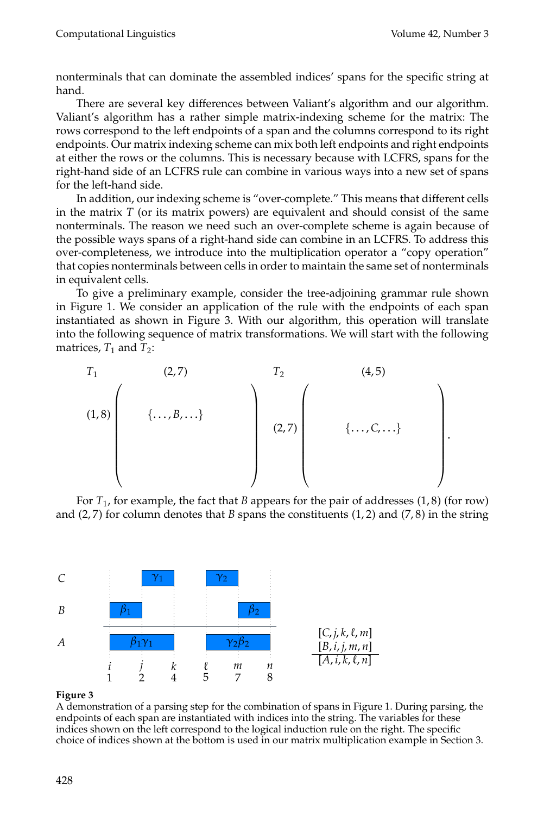.

nonterminals that can dominate the assembled indices' spans for the specific string at hand.

There are several key differences between Valiant's algorithm and our algorithm. Valiant's algorithm has a rather simple matrix-indexing scheme for the matrix: The rows correspond to the left endpoints of a span and the columns correspond to its right endpoints. Our matrix indexing scheme can mix both left endpoints and right endpoints at either the rows or the columns. This is necessary because with LCFRS, spans for the right-hand side of an LCFRS rule can combine in various ways into a new set of spans for the left-hand side.

In addition, our indexing scheme is "over-complete." This means that different cells in the matrix *T* (or its matrix powers) are equivalent and should consist of the same nonterminals. The reason we need such an over-complete scheme is again because of the possible ways spans of a right-hand side can combine in an LCFRS. To address this over-completeness, we introduce into the multiplication operator a "copy operation" that copies nonterminals between cells in order to maintain the same set of nonterminals in equivalent cells.

To give a preliminary example, consider the tree-adjoining grammar rule shown in Figure 1. We consider an application of the rule with the endpoints of each span instantiated as shown in Figure 3. With our algorithm, this operation will translate into the following sequence of matrix transformations. We will start with the following matrices,  $T_1$  and  $T_2$ :

$$
(1,8)
$$
\n
$$
\left(\begin{array}{c}\n(2,7) & T_2 & (4,5) \\
\vdots & \vdots & \ddots & \vdots \\
(1,8) & \vdots & \ddots & \vdots \\
\vdots & \vdots & \ddots & \vdots \\
\vdots & \vdots & \ddots & \vdots \\
\vdots & \vdots & \ddots & \vdots \\
\vdots & \vdots & \ddots & \vdots \\
\end{array}\right)
$$

For *T*<sup>1</sup> , for example, the fact that *B* appears for the pair of addresses (1, 8) (for row) and (2, 7) for column denotes that *B* spans the constituents (1, 2) and (7, 8) in the string



#### **Figure 3**

A demonstration of a parsing step for the combination of spans in Figure 1. During parsing, the endpoints of each span are instantiated with indices into the string. The variables for these indices shown on the left correspond to the logical induction rule on the right. The specific choice of indices shown at the bottom is used in our matrix multiplication example in Section 3.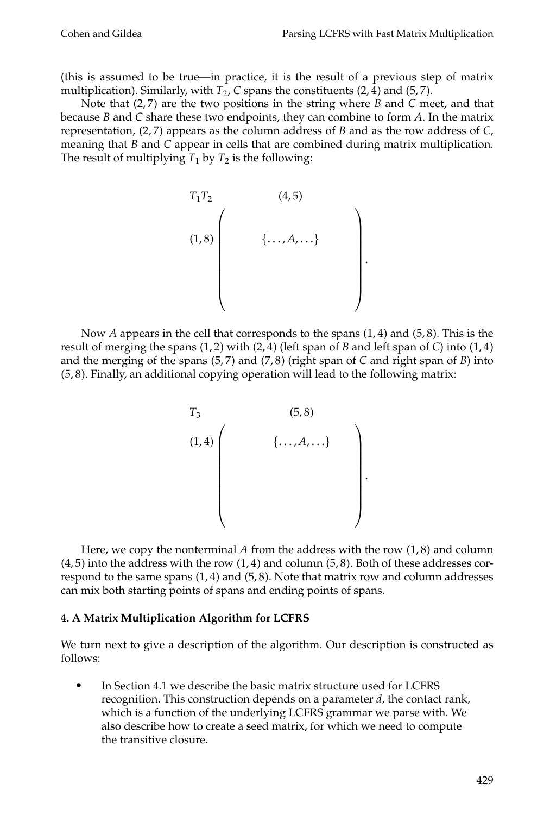(this is assumed to be true—in practice, it is the result of a previous step of matrix multiplication). Similarly, with *T*<sub>2</sub>, *C* spans the constituents (2, 4) and (5, 7).

Note that (2,7) are the two positions in the string where *B* and *C* meet, and that because *B* and *C* share these two endpoints, they can combine to form *A*. In the matrix representation, (2, 7) appears as the column address of *B* and as the row address of *C*, meaning that *B* and *C* appear in cells that are combined during matrix multiplication. The result of multiplying  $T_1$  by  $T_2$  is the following:



Now *A* appears in the cell that corresponds to the spans (1, 4) and (5, 8). This is the result of merging the spans  $(1, 2)$  with  $(2, 4)$  (left span of *B* and left span of *C*) into  $(1, 4)$ and the merging of the spans (5,7) and (7,8) (right span of *C* and right span of *B*) into (5, 8). Finally, an additional copying operation will lead to the following matrix:



Here, we copy the nonterminal  $A$  from the address with the row  $(1, 8)$  and column  $(4, 5)$  into the address with the row  $(1, 4)$  and column  $(5, 8)$ . Both of these addresses correspond to the same spans  $(1, 4)$  and  $(5, 8)$ . Note that matrix row and column addresses can mix both starting points of spans and ending points of spans.

## **4. A Matrix Multiplication Algorithm for LCFRS**

We turn next to give a description of the algorithm. Our description is constructed as follows:

r In Section 4.1 we describe the basic matrix structure used for LCFRS recognition. This construction depends on a parameter *d*, the contact rank, which is a function of the underlying LCFRS grammar we parse with. We also describe how to create a seed matrix, for which we need to compute the transitive closure.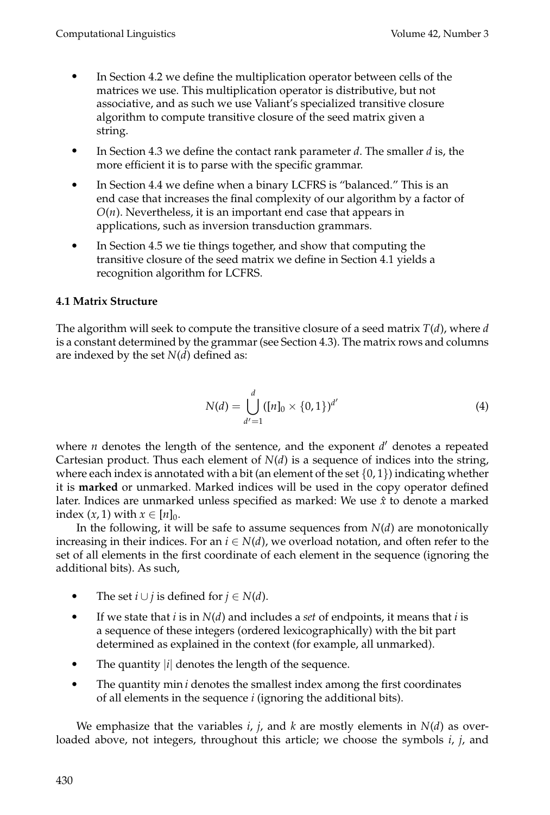- r In Section 4.2 we define the multiplication operator between cells of the matrices we use. This multiplication operator is distributive, but not associative, and as such we use Valiant's specialized transitive closure algorithm to compute transitive closure of the seed matrix given a string.
- r In Section 4.3 we define the contact rank parameter *d*. The smaller *d* is, the more efficient it is to parse with the specific grammar.
- r In Section 4.4 we define when a binary LCFRS is "balanced." This is an end case that increases the final complexity of our algorithm by a factor of  $O(n)$ . Nevertheless, it is an important end case that appears in applications, such as inversion transduction grammars.
- $\bullet$ In Section 4.5 we tie things together, and show that computing the transitive closure of the seed matrix we define in Section 4.1 yields a recognition algorithm for LCFRS.

# **4.1 Matrix Structure**

The algorithm will seek to compute the transitive closure of a seed matrix *T*(*d*), where *d* is a constant determined by the grammar (see Section 4.3). The matrix rows and columns are indexed by the set *N*(*d*) defined as:

$$
N(d) = \bigcup_{d'=1}^{d} ([n]_0 \times \{0, 1\})^{d'}
$$
 (4)

where  $n$  denotes the length of the sentence, and the exponent  $d'$  denotes a repeated Cartesian product. Thus each element of  $N(d)$  is a sequence of indices into the string, where each index is annotated with a bit (an element of the set  $\{0, 1\}$ ) indicating whether it is **marked** or unmarked. Marked indices will be used in the copy operator defined later. Indices are unmarked unless specified as marked: We use *x*ˆ to denote a marked index  $(x, 1)$  with  $x \in [n]_0$ .

In the following, it will be safe to assume sequences from  $N(d)$  are monotonically increasing in their indices. For an  $i \in N(d)$ , we overload notation, and often refer to the set of all elements in the first coordinate of each element in the sequence (ignoring the additional bits). As such,

- The set *i* ∪ *j* is defined for  $j \in N(d)$ .
- $\bullet$ If we state that *i* is in *N*(*d*) and includes a *set* of endpoints, it means that *i* is a sequence of these integers (ordered lexicographically) with the bit part determined as explained in the context (for example, all unmarked).
- The quantity |*i*| denotes the length of the sequence.
- The quantity min *i* denotes the smallest index among the first coordinates of all elements in the sequence *i* (ignoring the additional bits).

We emphasize that the variables  $i$ ,  $j$ , and  $k$  are mostly elements in  $N(d)$  as overloaded above, not integers, throughout this article; we choose the symbols *i*, *j*, and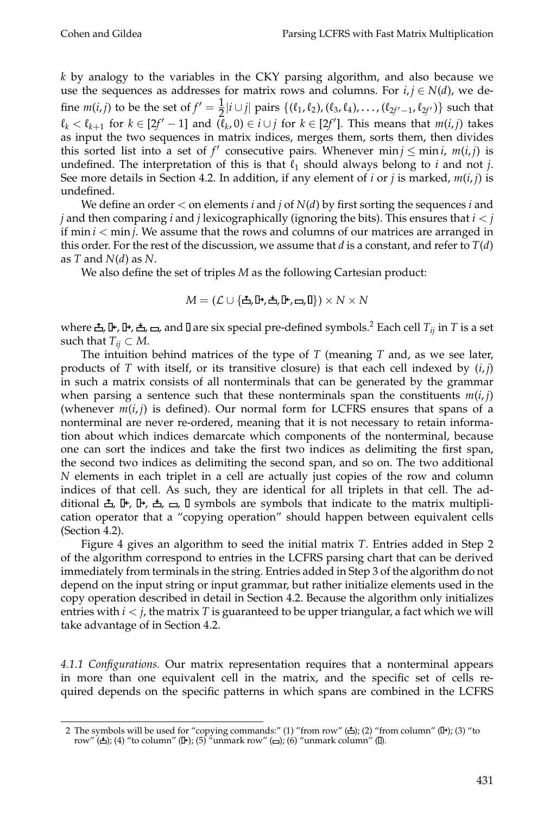*k* by analogy to the variables in the CKY parsing algorithm, and also because we use the sequences as addresses for matrix rows and columns. For  $i, j \in N(d)$ , we define  $m(i, j)$  to be the set of  $f' = \frac{1}{2}$  $\frac{1}{2}$  *j*  $\lfloor i \cup j \rfloor$  pairs  $\{(l_1, l_2), (l_3, l_4), \ldots, (l_{2f'-1}, l_{2f'})\}$  such that  $\ell_k < \ell_{k+1}$  for  $k \in [2f' - 1]$  and  $(\overline{\ell}_k, 0) \in i \cup j$  for  $k \in [2f']$ . This means that  $m(i, j)$  takes as input the two sequences in matrix indices, merges them, sorts them, then divides this sorted list into a set of  $f'$  consecutive pairs. Whenever  $min j \leq min i$ ,  $m(i, j)$  is undefined. The interpretation of this is that  $\ell_1$  should always belong to *i* and not *j*. See more details in Section 4.2. In addition, if any element of *i* or *j* is marked,  $m(i, j)$  is undefined.

We define an order < on elements *i* and *j* of *N*(*d*) by first sorting the sequences *i* and *j* and then comparing *i* and *j* lexicographically (ignoring the bits). This ensures that *i* < *j* if  $\min i < \min j$ . We assume that the rows and columns of our matrices are arranged in this order. For the rest of the discussion, we assume that  $d$  is a constant, and refer to  $T(d)$ as *T* and *N*(*d*) as *N*.

We also define the set of triples *M* as the following Cartesian product:

$$
M = (\mathcal{L} \cup \{\triangle, \mathbb{P}, \triangle, \mathbb{P}, \square, \mathbb{I}\}) \times N \times N
$$

where  $\triangle$ ,  $\triangle$ ,  $\triangle$ ,  $\triangle$ ,  $\triangle$ ,  $\triangle$ , and  $\square$  are six special pre-defined symbols.<sup>2</sup> Each cell  $T_{ij}$  in  $T$  is a set such that  $T_{ii} \subset M$ .

The intuition behind matrices of the type of *T* (meaning *T* and, as we see later, products of *T* with itself, or its transitive closure) is that each cell indexed by  $(i, j)$ in such a matrix consists of all nonterminals that can be generated by the grammar when parsing a sentence such that these nonterminals span the constituents  $m(i,j)$ (whenever  $m(i, j)$  is defined). Our normal form for LCFRS ensures that spans of a nonterminal are never re-ordered, meaning that it is not necessary to retain information about which indices demarcate which components of the nonterminal, because one can sort the indices and take the first two indices as delimiting the first span, the second two indices as delimiting the second span, and so on. The two additional *N* elements in each triplet in a cell are actually just copies of the row and column indices of that cell. As such, they are identical for all triplets in that cell. The additional  $\triangle$ ,  $\triangle$ ,  $\triangle$ ,  $\triangle$ ,  $\triangle$ ,  $\triangle$ ,  $\triangle$ ,  $\triangle$  symbols are symbols that indicate to the matrix multiplication operator that a "copying operation" should happen between equivalent cells (Section 4.2).

Figure 4 gives an algorithm to seed the initial matrix *T*. Entries added in Step 2 of the algorithm correspond to entries in the LCFRS parsing chart that can be derived immediately from terminals in the string. Entries added in Step 3 of the algorithm do not depend on the input string or input grammar, but rather initialize elements used in the copy operation described in detail in Section 4.2. Because the algorithm only initializes entries with  $i < j$ , the matrix  $T$  is guaranteed to be upper triangular, a fact which we will take advantage of in Section 4.2.

*4.1.1 Configurations.* Our matrix representation requires that a nonterminal appears in more than one equivalent cell in the matrix, and the specific set of cells required depends on the specific patterns in which spans are combined in the LCFRS

<sup>2</sup> The symbols will be used for "copying commands:" (1) "from row"  $(\triangle)$ ; (2) "from column" ( $\mathbb{P}$ ); (3) "to row"  $(\triangle)$ ; (4) "to column" ( $\mathbb{I}$ +); (5) "unmark row" ( $\Box$ ); (6) "unmark column" ( $\mathbb{I}$ ).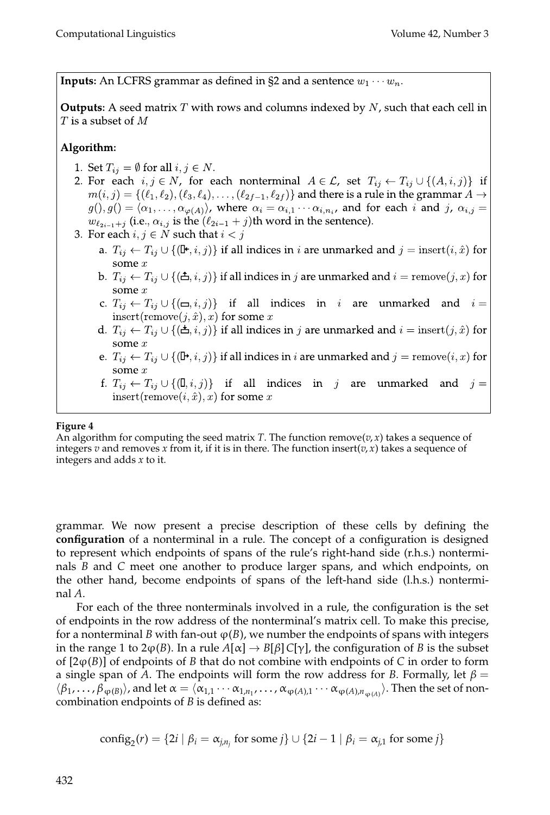**Inputs:** An LCFRS grammar as defined in §2 and a sentence  $w_1 \cdots w_n$ .

**Outputs:** A seed matrix  $T$  with rows and columns indexed by  $N$ , such that each cell in  ${\cal T}$  is a subset of  $M$ 

# Algorithm:

- 1. Set  $T_{ij} = \emptyset$  for all  $i, j \in N$ .
- 2. For each  $i, j \in N$ , for each nonterminal  $A \in \mathcal{L}$ , set  $T_{ij} \leftarrow T_{ij} \cup \{(A, i, j)\}\$  if  $m(i,j) = \{(\ell_1,\ell_2),(\ell_3,\ell_4),\ldots,(\ell_{2f-1},\ell_{2f})\}$  and there is a rule in the grammar  $A \to$  $g(0,g(0) = \langle \alpha_1,\ldots,\alpha_{\varphi(A)} \rangle$ , where  $\alpha_i = \alpha_{i,1} \cdots \alpha_{i,n_i}$ , and for each i and j,  $\alpha_{i,j} =$  $w_{\ell_{2i-1}+j}$  (i.e.,  $\alpha_{i,j}$  is the  $(\ell_{2i-1}+j)$ th word in the sentence).
- 3. For each  $i, j \in N$  such that  $i < j$ 
	- a.  $T_{ij} \leftarrow T_{ij} \cup \{(\mathbf{I}^{\mathbf{t}}, i, j)\}\$  if all indices in *i* are unmarked and  $j = \text{insert}(i, \hat{x})$  for
	- b.  $T_{ij} \leftarrow T_{ij} \cup \{(\triangle, i, j)\}\$  if all indices in j are unmarked and  $i = \text{remove}(j, x)$  for some  $x$
	- c.  $T_{ij} \leftarrow T_{ij} \cup \{(\equiv, i, j)\}\$  if all indices in i are unmarked and  $i =$ insert(remove $(j, \hat{x}), x$ ) for some x
	- d.  $T_{ij} \leftarrow T_{ij} \cup \{(\triangle, i, j)\}\$ if all indices in j are unmarked and  $i = \text{insert}(j, \hat{x})$  for some  $x$
	- e.  $T_{ij} \leftarrow T_{ij} \cup \{(\mathbf{D}, i, j)\}\$ if all indices in *i* are unmarked and  $j = \text{remove}(i, x)$  for some  $x$
	- f.  $T_{ij} \leftarrow T_{ij} \cup \{(\mathbf{I}, i, j)\}\$  if all indices in j are unmarked and  $j =$ insert(remove(i,  $\hat{x}$ ), x) for some x

## **Figure 4**

An algorithm for computing the seed matrix *T*. The function remove( $v, x$ ) takes a sequence of integers *v* and removes *x* from it, if it is in there. The function insert( $v, x$ ) takes a sequence of integers and adds *x* to it.

grammar. We now present a precise description of these cells by defining the **configuration** of a nonterminal in a rule. The concept of a configuration is designed to represent which endpoints of spans of the rule's right-hand side (r.h.s.) nonterminals *B* and *C* meet one another to produce larger spans, and which endpoints, on the other hand, become endpoints of spans of the left-hand side (l.h.s.) nonterminal *A*.

For each of the three nonterminals involved in a rule, the configuration is the set of endpoints in the row address of the nonterminal's matrix cell. To make this precise, for a nonterminal *B* with fan-out  $\varphi(B)$ , we number the endpoints of spans with integers in the range 1 to  $2\varphi(B)$ . In a rule  $A[\alpha] \to B[\beta]C[\gamma]$ , the configuration of *B* is the subset of  $[2\varphi(B)]$  of endpoints of *B* that do not combine with endpoints of *C* in order to form a single span of  $\overline{A}$ . The endpoints will form the row address for *B*. Formally, let  $\beta =$  $\langle \beta_1,\ldots,\beta_{\phi(B)}\rangle$ , and let  $\alpha=\langle \alpha_{1,1}\cdots\alpha_{1,n_1},\ldots,\alpha_{\phi(A),1}\cdots\alpha_{\phi(A),n_{\phi(A)}}\rangle$ . Then the set of noncombination endpoints of *B* is defined as:

config<sub>2</sub>(*r*) = {2*i* | 
$$
\beta_i = \alpha_{j,n_j}
$$
 for some *j*}  $\cup$  {2*i* – 1 |  $\beta_i = \alpha_{j,1}$  for some *j*}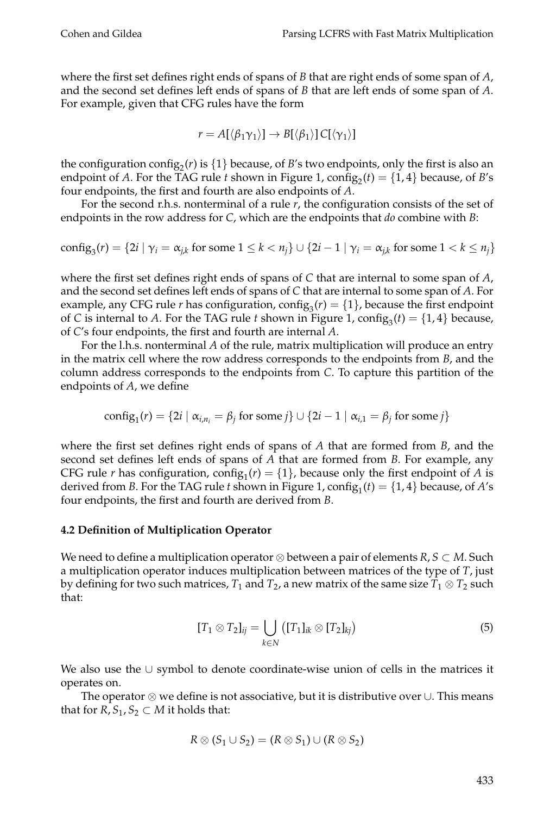where the first set defines right ends of spans of *B* that are right ends of some span of *A*, and the second set defines left ends of spans of *B* that are left ends of some span of *A*. For example, given that CFG rules have the form

$$
r = A[\langle \beta_1 \gamma_1 \rangle] \rightarrow B[\langle \beta_1 \rangle] C[\langle \gamma_1 \rangle]
$$

the configuration config<sub>2</sub> $(r)$  is  $\{1\}$  because, of *B*'s two endpoints, only the first is also an endpoint of *A*. For the TAG rule *t* shown in Figure 1,  $\text{config}_2(t) = \{1, 4\}$  because, of *B*'s four endpoints, the first and fourth are also endpoints of *A*.

For the second r.h.s. nonterminal of a rule *r*, the configuration consists of the set of endpoints in the row address for *C*, which are the endpoints that *do* combine with *B*:

config<sub>3</sub>(*r*) = {2*i* | 
$$
\gamma_i = \alpha_{j,k}
$$
 for some  $1 \leq k < n_j$ }  $\cup$  {2*i* - 1 |  $\gamma_i = \alpha_{j,k}$  for some  $1 < k \leq n_j$ }

where the first set defines right ends of spans of *C* that are internal to some span of *A*, and the second set defines left ends of spans of *C* that are internal to some span of *A*. For example, any CFG rule *r* has configuration,  $\text{config}_3(r) = \{1\}$ , because the first endpoint of *C* is internal to *A*. For the TAG rule *t* shown in Figure 1,  $\text{config}_3(t) = \{1, 4\}$  because, of *C*'s four endpoints, the first and fourth are internal *A*.

For the l.h.s. nonterminal *A* of the rule, matrix multiplication will produce an entry in the matrix cell where the row address corresponds to the endpoints from *B*, and the column address corresponds to the endpoints from *C*. To capture this partition of the endpoints of *A*, we define

config<sub>1</sub>(*r*) = {2*i* | 
$$
\alpha_{i,n_i} = \beta_j
$$
 for some *j*}  $\cup$  {2*i* – 1 |  $\alpha_{i,1} = \beta_j$  for some *j*}

where the first set defines right ends of spans of *A* that are formed from *B*, and the second set defines left ends of spans of *A* that are formed from *B*. For example, any CFG rule *r* has configuration,  $\text{config}_1(r) = \{1\}$ , because only the first endpoint of *A* is derived from *B*. For the TAG rule *t* shown in Figure 1,  $\text{config}_1(t) = \{1, 4\}$  because, of *A*'s four endpoints, the first and fourth are derived from *B*.

#### **4.2 Definition of Multiplication Operator**

We need to define a multiplication operator ⊗ between a pair of elements *R*, *S* ⊂ *M*. Such a multiplication operator induces multiplication between matrices of the type of *T*, just by defining for two such matrices,  $T_1$  and  $T_2$ , a new matrix of the same size  $T_1\otimes T_2$  such that:

$$
[T_1 \otimes T_2]_{ij} = \bigcup_{k \in N} ([T_1]_{ik} \otimes [T_2]_{kj})
$$
 (5)

We also use the ∪ symbol to denote coordinate-wise union of cells in the matrices it operates on.

The operator ⊗ we define is not associative, but it is distributive over ∪. This means that for  $R$ ,  $S_1$ ,  $S_2 \subset M$  it holds that:

$$
R \otimes (S_1 \cup S_2) = (R \otimes S_1) \cup (R \otimes S_2)
$$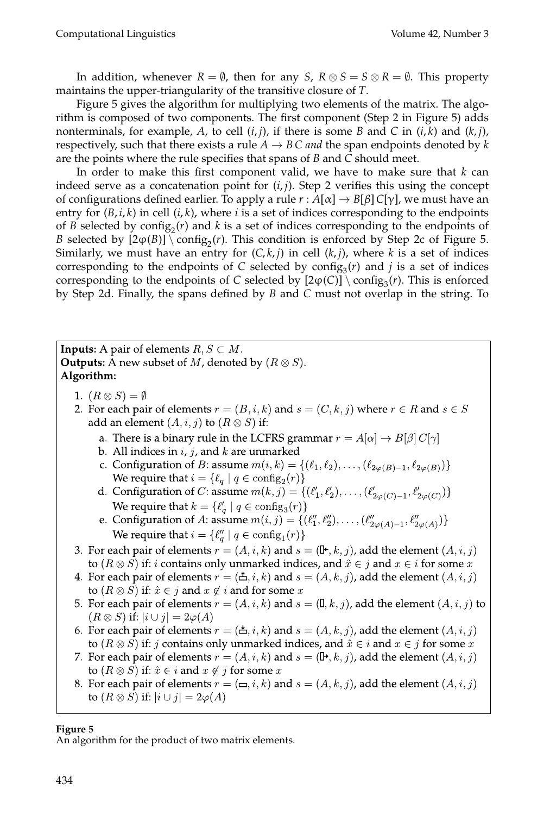In addition, whenever  $R = \emptyset$ , then for any *S*,  $R \otimes S = S \otimes R = \emptyset$ . This property maintains the upper-triangularity of the transitive closure of *T*.

Figure 5 gives the algorithm for multiplying two elements of the matrix. The algorithm is composed of two components. The first component (Step 2 in Figure 5) adds nonterminals, for example,  $A$ , to cell  $(i, j)$ , if there is some  $B$  and  $C$  in  $(i, k)$  and  $(k, j)$ , respectively, such that there exists a rule  $A \rightarrow BC$  *and* the span endpoints denoted by *k* are the points where the rule specifies that spans of *B* and *C* should meet.

In order to make this first component valid, we have to make sure that *k* can indeed serve as a concatenation point for  $(i, j)$ . Step 2 verifies this using the concept of configurations defined earlier. To apply a rule  $r : A[\alpha] \to B[\beta]C[\gamma]$ , we must have an entry for  $(B, i, k)$  in cell  $(i, k)$ , where *i* is a set of indices corresponding to the endpoints of *B* selected by  $\text{config}_2(r)$  and *k* is a set of indices corresponding to the endpoints of *B* selected by  $[2\varphi(B)] \setminus \text{config}_2(r)$ . This condition is enforced by Step 2c of Figure 5. Similarly, we must have an entry for  $(C, k, j)$  in cell  $(k, j)$ , where k is a set of indices corresponding to the endpoints of *C* selected by config<sub>3</sub> $(r)$  and *j* is a set of indices corresponding to the endpoints of *C* selected by  $[2\varphi(C)] \setminus \text{config}_3(r)$ . This is enforced by Step 2d. Finally, the spans defined by *B* and *C* must not overlap in the string. To

**Inputs:** A pair of elements  $R, S \subset M$ . **Outputs:** A new subset of M, denoted by  $(R \otimes S)$ . Algorithm: 1.  $(R \otimes S) = \emptyset$ 2. For each pair of elements  $r = (B, i, k)$  and  $s = (C, k, j)$  where  $r \in R$  and  $s \in S$ add an element  $(A, i, j)$  to  $(R \otimes S)$  if: a. There is a binary rule in the LCFRS grammar  $r = A[\alpha] \rightarrow B[\beta] C[\gamma]$ b. All indices in  $i, j$ , and  $k$  are unmarked c. Configuration of *B*: assume  $m(i,k) = \{(\ell_1, \ell_2), \ldots, (\ell_{2\varphi(B)-1}, \ell_{2\varphi(B)})\}$ We require that  $i = \{\ell_q \mid q \in \text{config}_2(r)\}\$ d. Configuration of *C*: assume  $m(k, j) = \{(\ell'_1, \ell'_2), \ldots, (\ell'_{2\varphi(C)-1}, \ell'_{2\varphi(C)})\}$ We require that  $k = \{ \ell'_q \mid q \in \text{config}_3(r) \}$ e. Configuration of A: assume  $m(i, j) = \{(\ell_1'', \ell_2''), \ldots, (\ell_{2\varphi(A)-1}'', \ell_{2\varphi(A)}''')\}$ We require that  $i = \{\ell_q'' \mid q \in \text{config}_1(r)\}\$ 3. For each pair of elements  $r = (A, i, k)$  and  $s = (\mathbb{I}^*, k, j)$ , add the element  $(A, i, j)$ to  $(R \otimes S)$  if: *i* contains only unmarked indices, and  $\hat{x} \in j$  and  $x \in i$  for some x 4. For each pair of elements  $r = (\triangle, i, k)$  and  $s = (A, k, j)$ , add the element  $(A, i, j)$ to  $(R \otimes S)$  if:  $\hat{x} \in j$  and  $x \notin i$  and for some x 5. For each pair of elements  $r = (A, i, k)$  and  $s = (\mathbb{I}, k, j)$ , add the element  $(A, i, j)$  to  $(R \otimes S)$  if:  $|i \cup j| = 2\varphi(A)$ 6. For each pair of elements  $r = (\pm, i, k)$  and  $s = (A, k, j)$ , add the element  $(A, i, j)$ to  $(R \otimes S)$  if: j contains only unmarked indices, and  $\hat{x} \in i$  and  $x \in j$  for some x 7. For each pair of elements  $r = (A, i, k)$  and  $s = (\mathbb{D}^*, k, j)$ , add the element  $(A, i, j)$ to  $(R \otimes S)$  if:  $\hat{x} \in i$  and  $x \notin j$  for some  $x$ 8. For each pair of elements  $r = (\square, i, k)$  and  $s = (A, k, j)$ , add the element  $(A, i, j)$ to  $(R \otimes S)$  if:  $|i \cup j| = 2\varphi(A)$ 

**Figure 5**

An algorithm for the product of two matrix elements.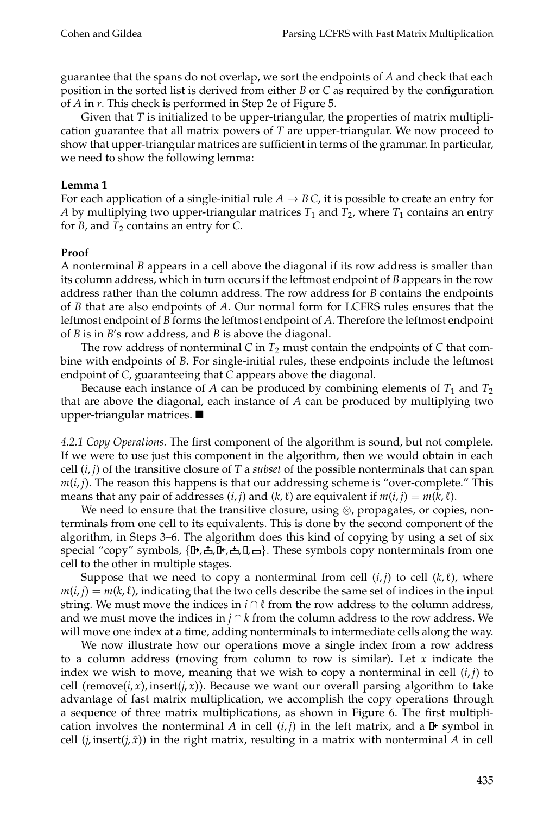guarantee that the spans do not overlap, we sort the endpoints of *A* and check that each position in the sorted list is derived from either *B* or *C* as required by the configuration of *A* in *r*. This check is performed in Step 2e of Figure 5.

Given that *T* is initialized to be upper-triangular, the properties of matrix multiplication guarantee that all matrix powers of *T* are upper-triangular. We now proceed to show that upper-triangular matrices are sufficient in terms of the grammar. In particular, we need to show the following lemma:

#### **Lemma 1**

For each application of a single-initial rule  $A \rightarrow B C$ , it is possible to create an entry for  $A$  by multiplying two upper-triangular matrices  $T_1$  and  $T_2$ , where  $T_1$  contains an entry for *B*, and  $T_2$  contains an entry for *C*.

#### **Proof**

A nonterminal *B* appears in a cell above the diagonal if its row address is smaller than its column address, which in turn occurs if the leftmost endpoint of *B* appears in the row address rather than the column address. The row address for *B* contains the endpoints of *B* that are also endpoints of *A*. Our normal form for LCFRS rules ensures that the leftmost endpoint of *B* forms the leftmost endpoint of *A*. Therefore the leftmost endpoint of *B* is in *B*'s row address, and *B* is above the diagonal.

The row address of nonterminal *C* in  $T_2$  must contain the endpoints of *C* that combine with endpoints of *B*. For single-initial rules, these endpoints include the leftmost endpoint of *C*, guaranteeing that *C* appears above the diagonal.

Because each instance of  $A$  can be produced by combining elements of  $T_1$  and  $T_2$ that are above the diagonal, each instance of *A* can be produced by multiplying two upper-triangular matrices.

*4.2.1 Copy Operations.* The first component of the algorithm is sound, but not complete. If we were to use just this component in the algorithm, then we would obtain in each cell  $(i, j)$  of the transitive closure of *T* a *subset* of the possible nonterminals that can span  $m(i, j)$ . The reason this happens is that our addressing scheme is "over-complete." This means that any pair of addresses  $(i, j)$  and  $(k, \ell)$  are equivalent if  $m(i, j) = m(k, \ell)$ .

We need to ensure that the transitive closure, using ⊗, propagates, or copies, nonterminals from one cell to its equivalents. This is done by the second component of the algorithm, in Steps 3–6. The algorithm does this kind of copying by using a set of six special "copy" symbols,  $\{\mathbb{P}, \triangle, \mathbb{P}, \triangle, \mathbb{I}, \square\}$ . These symbols copy nonterminals from one cell to the other in multiple stages.

Suppose that we need to copy a nonterminal from cell  $(i, j)$  to cell  $(k, \ell)$ , where  $m(i, j) = m(k, \ell)$ , indicating that the two cells describe the same set of indices in the input string. We must move the indices in *i*  $\cap$  *l* from the row address to the column address, and we must move the indices in *j* ∩ *k* from the column address to the row address. We will move one index at a time, adding nonterminals to intermediate cells along the way.

We now illustrate how our operations move a single index from a row address to a column address (moving from column to row is similar). Let *x* indicate the index we wish to move, meaning that we wish to copy a nonterminal in cell  $(i, j)$  to cell (remove( $i, x$ ), insert( $j, x$ )). Because we want our overall parsing algorithm to take advantage of fast matrix multiplication, we accomplish the copy operations through a sequence of three matrix multiplications, as shown in Figure 6. The first multiplication involves the nonterminal *A* in cell  $(i, j)$  in the left matrix, and a  $\mathbb{F}$  symbol in cell  $(j, \text{insert}(j, \hat{x}))$  in the right matrix, resulting in a matrix with nonterminal A in cell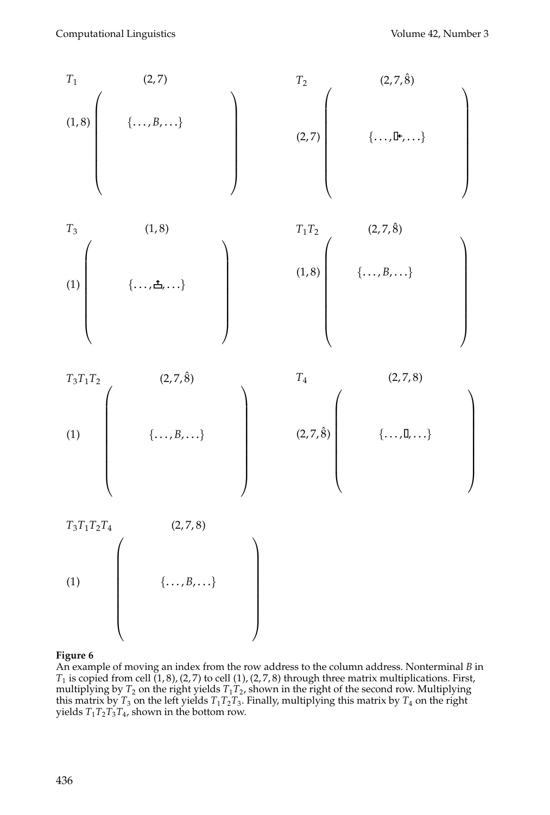

#### **Figure 6**

An example of moving an index from the row address to the column address. Nonterminal *B* in  $T_1$  is copied from cell  $(1, 8)$ ,  $(2, 7)$  to cell  $(1)$ ,  $(2, 7, 8)$  through three matrix multiplications. First, multiplying by  $T_2$  on the right yields  $T_1T_2$ , shown in the right of the second row. Multiplying this matrix by  $T_3$  on the left yields  $T_1T_2T_3$ . Finally, multiplying this matrix by  $T_4$  on the right yields  $T_1 T_2 T_3 T_4$ , shown in the bottom row.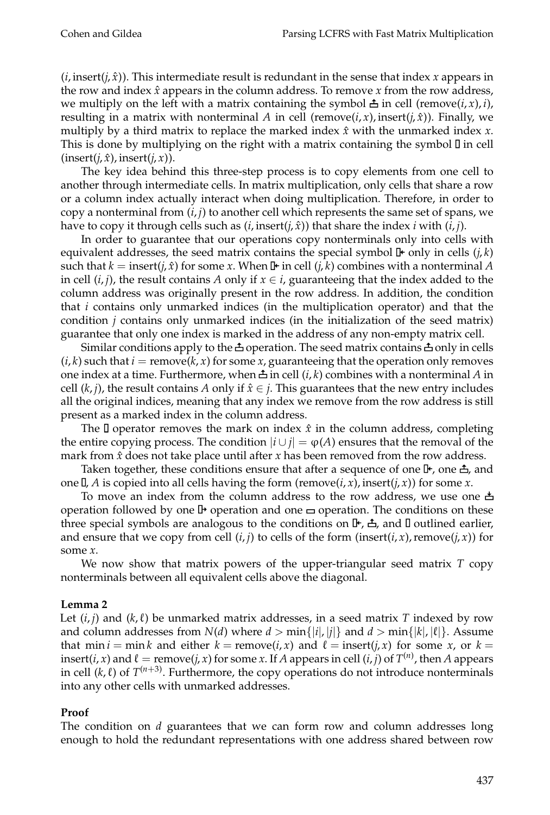$(i, \text{insert}(i, \hat{x}))$ . This intermediate result is redundant in the sense that index *x* appears in the row and index  $\hat{x}$  appears in the column address. To remove  $x$  from the row address, we multiply on the left with a matrix containing the symbol  $\triangle$  in cell (remove(*i*, *x*), *i*), resulting in a matrix with nonterminal *A* in cell (remove(*i*, *x*), insert(*j*, *x*̂)). Finally, we multiply by a third matrix to replace the marked index  $\hat{x}$  with the unmarked index  $\hat{x}$ . This is done by multiplying on the right with a matrix containing the symbol  $\mathbb{I}$  in cell  $(inset(j, \hat{x}), insert(j, x)).$ 

The key idea behind this three-step process is to copy elements from one cell to another through intermediate cells. In matrix multiplication, only cells that share a row or a column index actually interact when doing multiplication. Therefore, in order to copy a nonterminal from  $(i, j)$  to another cell which represents the same set of spans, we have to copy it through cells such as  $(i, \text{insert}(i, \hat{x}))$  that share the index *i* with  $(i, j)$ .

In order to guarantee that our operations copy nonterminals only into cells with equivalent addresses, the seed matrix contains the special symbol  $\mathbb{F}$  only in cells  $(j, k)$ such that  $k = \text{insert}(j, \hat{x})$  for some *x*. When  $\mathbb{I}^{\bullet}$  in cell  $(j, k)$  combines with a nonterminal *A* in cell  $(i, j)$ , the result contains *A* only if  $x \in i$ , guaranteeing that the index added to the column address was originally present in the row address. In addition, the condition that *i* contains only unmarked indices (in the multiplication operator) and that the condition *j* contains only unmarked indices (in the initialization of the seed matrix) guarantee that only one index is marked in the address of any non-empty matrix cell.

Similar conditions apply to the  $\triangle$  operation. The seed matrix contains  $\triangle$  only in cells  $(i, k)$  such that  $i = \text{remove}(k, x)$  for some *x*, guaranteeing that the operation only removes one index at a time. Furthermore, when  $\triangle$  in cell  $(i, k)$  combines with a nonterminal A in cell  $(k, j)$ , the result contains *A* only if  $\hat{x} \in j$ . This guarantees that the new entry includes all the original indices, meaning that any index we remove from the row address is still present as a marked index in the column address.

The  $\Box$  operator removes the mark on index  $\hat{x}$  in the column address, completing the entire copying process. The condition  $|i \cup j| = \varphi(A)$  ensures that the removal of the mark from  $\hat{x}$  does not take place until after  $x$  has been removed from the row address.

Taken together, these conditions ensure that after a sequence of one  $\mathbb{I}^*$ , one  $\triangle$ , and one  $\mathbb{I}$ , *A* is copied into all cells having the form (remove(*i*, *x*), insert(*j*, *x*)) for some *x*.

To move an index from the column address to the row address, we use one  $\pm$ operation followed by one  $\mathbb P$  operation and one  $\equiv$  operation. The conditions on these three special symbols are analogous to the conditions on  $\mathbb{F}, \triangle$ , and  $\mathbb{I}$  outlined earlier, and ensure that we copy from cell  $(i, j)$  to cells of the form (insert( $i, x$ ), remove( $j, x$ )) for some *x*.

We now show that matrix powers of the upper-triangular seed matrix *T* copy nonterminals between all equivalent cells above the diagonal.

#### **Lemma 2**

Let  $(i, j)$  and  $(k, \ell)$  be unmarked matrix addresses, in a seed matrix *T* indexed by row and column addresses from  $N(d)$  where  $d > \min\{|i|, |j|\}$  and  $d > \min\{|k|, |\ell|\}$ . Assume that min  $i = \min k$  and either  $k = \text{remove}(i, x)$  and  $\ell = \text{insert}(i, x)$  for some  $x$ , or  $k =$ insert(*i*, *x*) and  $\ell$  = remove(*j*, *x*) for some *x*. If *A* appears in cell (*i*, *j*) of  $T^{(n)}$ , then *A* appears in cell  $(k, l)$  of  $T^{(n+3)}$ . Furthermore, the copy operations do not introduce nonterminals into any other cells with unmarked addresses.

#### **Proof**

The condition on *d* guarantees that we can form row and column addresses long enough to hold the redundant representations with one address shared between row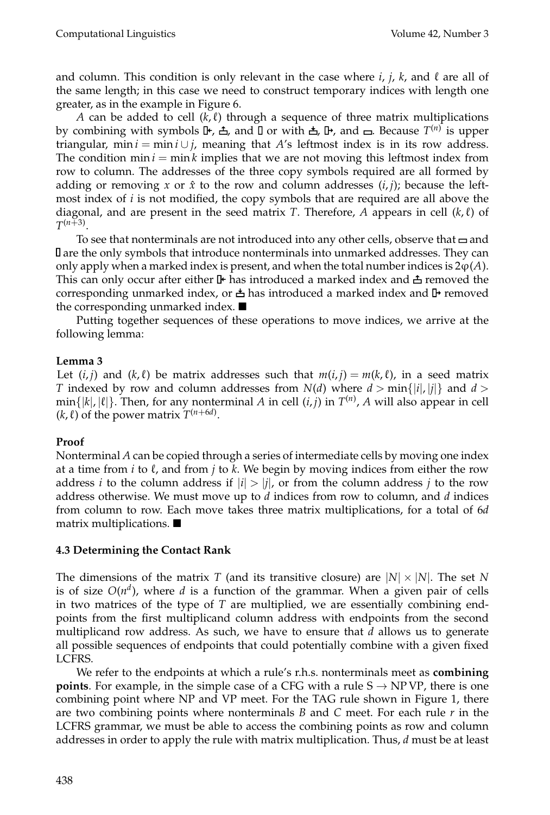and column. This condition is only relevant in the case where  $i$ ,  $j$ ,  $k$ , and  $\ell$  are all of the same length; in this case we need to construct temporary indices with length one greater, as in the example in Figure 6.

*A* can be added to cell  $(k, l)$  through a sequence of three matrix multiplications by combining with symbols **I+**, **≛**, and **I** or with **≛**, **I+**, and **□**. Because  $T^{(n)}$  is upper triangular, min *i* = min *i* ∪ *j*, meaning that *A*'s leftmost index is in its row address. The condition  $\min i = \min k$  implies that we are not moving this leftmost index from row to column. The addresses of the three copy symbols required are all formed by adding or removing *x* or  $\hat{x}$  to the row and column addresses  $(i, j)$ ; because the leftmost index of *i* is not modified, the copy symbols that are required are all above the diagonal, and are present in the seed matrix *T*. Therefore, *A* appears in cell  $(k, \ell)$  of  $T^{(n+3)}$ .

To see that nonterminals are not introduced into any other cells, observe that  $\equiv$  and are the only symbols that introduce nonterminals into unmarked addresses. They can only apply when a marked index is present, and when the total number indices is  $2\varphi(A)$ . This can only occur after either  $\mathbb F$  has introduced a marked index and  $\triangle$  removed the corresponding unmarked index, or  $\triangleq$  has introduced a marked index and  $\mathbb P$  removed the corresponding unmarked index.  $\blacksquare$ 

Putting together sequences of these operations to move indices, we arrive at the following lemma:

#### **Lemma 3**

Let  $(i, j)$  and  $(k, \ell)$  be matrix addresses such that  $m(i, j) = m(k, \ell)$ , in a seed matrix *T* indexed by row and column addresses from  $N(d)$  where  $d > min\{|i|, |j|\}$  and  $d >$  $\min\{|k|, |\ell|\}$ . Then, for any nonterminal *A* in cell  $(i, j)$  in  $T^{(n)}$ , *A* will also appear in cell  $(k, l)$  of the power matrix  $T^{(n+6d)}$ .

## **Proof**

Nonterminal *A* can be copied through a series of intermediate cells by moving one index at a time from *i* to  $\ell$ , and from *j* to  $k$ . We begin by moving indices from either the row address *i* to the column address if  $|i| > |j|$ , or from the column address *j* to the row address otherwise. We must move up to *d* indices from row to column, and *d* indices from column to row. Each move takes three matrix multiplications, for a total of 6*d* matrix multiplications.  $\blacksquare$ 

## **4.3 Determining the Contact Rank**

The dimensions of the matrix *T* (and its transitive closure) are  $|N| \times |N|$ . The set *N* is of size  $O(n^d)$ , where  $d$  is a function of the grammar. When a given pair of cells in two matrices of the type of *T* are multiplied, we are essentially combining endpoints from the first multiplicand column address with endpoints from the second multiplicand row address. As such, we have to ensure that *d* allows us to generate all possible sequences of endpoints that could potentially combine with a given fixed LCFRS.

We refer to the endpoints at which a rule's r.h.s. nonterminals meet as **combining points**. For example, in the simple case of a CFG with a rule  $S \rightarrow NP VP$ , there is one combining point where NP and VP meet. For the TAG rule shown in Figure 1, there are two combining points where nonterminals *B* and *C* meet. For each rule *r* in the LCFRS grammar, we must be able to access the combining points as row and column addresses in order to apply the rule with matrix multiplication. Thus, *d* must be at least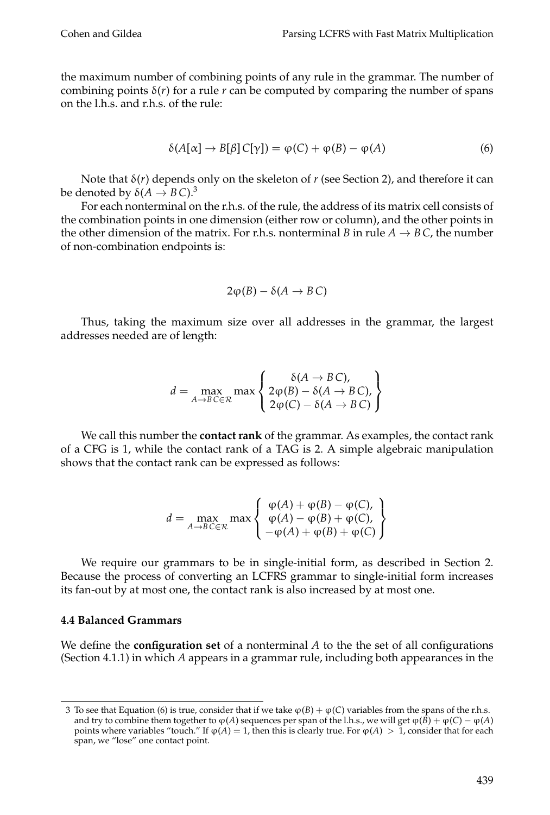the maximum number of combining points of any rule in the grammar. The number of combining points  $\delta(r)$  for a rule *r* can be computed by comparing the number of spans on the l.h.s. and r.h.s. of the rule:

$$
\delta(A[\alpha] \to B[\beta]C[\gamma]) = \varphi(C) + \varphi(B) - \varphi(A)
$$
\n(6)

Note that  $\delta(r)$  depends only on the skeleton of r (see Section 2), and therefore it can be denoted by  $\delta(A \rightarrow B C)^3$ 

For each nonterminal on the r.h.s. of the rule, the address of its matrix cell consists of the combination points in one dimension (either row or column), and the other points in the other dimension of the matrix. For r.h.s. nonterminal *B* in rule  $A \rightarrow B C$ , the number of non-combination endpoints is:

$$
2\varphi(B)-\delta(A\to B\,C)
$$

Thus, taking the maximum size over all addresses in the grammar, the largest addresses needed are of length:

$$
d = \max_{A \to B \subset \in \mathcal{R}} \max \left\{ \begin{array}{l} \delta(A \to BC), \\ 2\varphi(B) - \delta(A \to BC), \\ 2\varphi(C) - \delta(A \to BC) \end{array} \right\}
$$

We call this number the **contact rank** of the grammar. As examples, the contact rank of a CFG is 1, while the contact rank of a TAG is 2. A simple algebraic manipulation shows that the contact rank can be expressed as follows:

$$
d = \max_{A \to B \subset \in \mathcal{R}} \max \left\{ \begin{array}{l} \varphi(A) + \varphi(B) - \varphi(C), \\ \varphi(A) - \varphi(B) + \varphi(C), \\ -\varphi(A) + \varphi(B) + \varphi(C) \end{array} \right\}
$$

We require our grammars to be in single-initial form, as described in Section 2. Because the process of converting an LCFRS grammar to single-initial form increases its fan-out by at most one, the contact rank is also increased by at most one.

#### **4.4 Balanced Grammars**

We define the **configuration set** of a nonterminal *A* to the the set of all configurations (Section 4.1.1) in which *A* appears in a grammar rule, including both appearances in the

<sup>3</sup> To see that Equation (6) is true, consider that if we take  $\varphi(B) + \varphi(C)$  variables from the spans of the r.h.s. and try to combine them together to  $\varphi(A)$  sequences per span of the l.h.s., we will get  $\varphi(B) + \varphi(C) - \varphi(A)$ points where variables "touch." If  $\varphi(A) = 1$ , then this is clearly true. For  $\varphi(A) > 1$ , consider that for each span, we "lose" one contact point.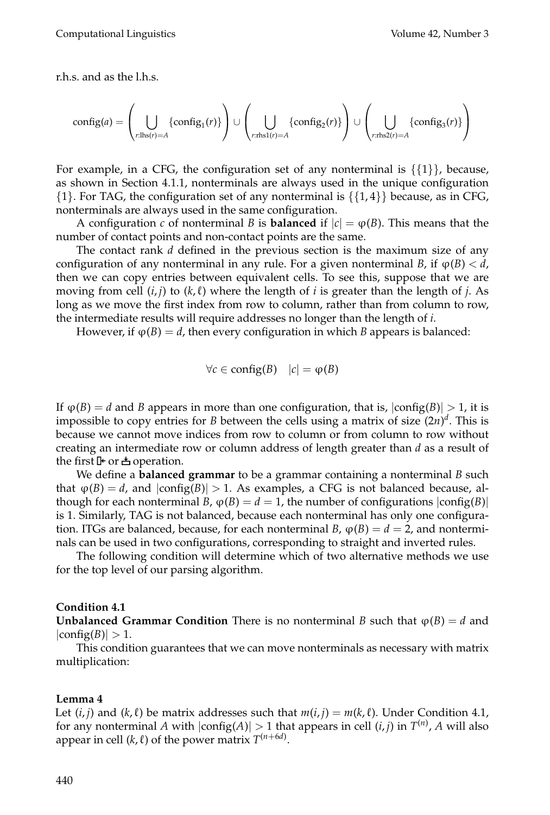r.h.s. and as the l.h.s.

$$
\text{config}(a) = \left(\bigcup_{r:\text{Ins}(r)=A} \{\text{config}_1(r)\}\right) \cup \left(\bigcup_{r:\text{rhs1}(r)=A} \{\text{config}_2(r)\}\right) \cup \left(\bigcup_{r:\text{rhs2}(r)=A} \{\text{config}_3(r)\}\right)
$$

For example, in a CFG, the configuration set of any nonterminal is  $\{\{1\}\}\,$  because, as shown in Section 4.1.1, nonterminals are always used in the unique configuration  $\{1\}$ . For TAG, the configuration set of any nonterminal is  $\{\{1,4\}\}\$  because, as in CFG, nonterminals are always used in the same configuration.

A configuration *c* of nonterminal *B* is **balanced** if  $|c| = \varphi(B)$ . This means that the number of contact points and non-contact points are the same.

The contact rank *d* defined in the previous section is the maximum size of any configuration of any nonterminal in any rule. For a given nonterminal *B*, if  $\varphi(B) < d$ , then we can copy entries between equivalent cells. To see this, suppose that we are moving from cell  $(i, j)$  to  $(k, \ell)$  where the length of *i* is greater than the length of *j*. As long as we move the first index from row to column, rather than from column to row, the intermediate results will require addresses no longer than the length of *i*.

However, if  $\varphi(B) = d$ , then every configuration in which *B* appears is balanced:

$$
\forall c \in \mathrm{config}(B) \quad |c| = \varphi(B)
$$

If  $\varphi(B) = d$  and *B* appears in more than one configuration, that is,  $|\text{config}(B)| > 1$ , it is impossible to copy entries for *B* between the cells using a matrix of size (2*n*) *d* . This is because we cannot move indices from row to column or from column to row without creating an intermediate row or column address of length greater than *d* as a result of the first  $\mathbb F$  or  $\triangle$  operation.

We define a **balanced grammar** to be a grammar containing a nonterminal *B* such that  $\varphi(B) = d$ , and  $|\text{config}(B)| > 1$ . As examples, a CFG is not balanced because, although for each nonterminal *B*,  $\varphi(B) = d = 1$ , the number of configurations  $|\text{config}(B)|$ is 1. Similarly, TAG is not balanced, because each nonterminal has only one configuration. ITGs are balanced, because, for each nonterminal *B*,  $\varphi(B) = d = 2$ , and nonterminals can be used in two configurations, corresponding to straight and inverted rules.

The following condition will determine which of two alternative methods we use for the top level of our parsing algorithm.

#### **Condition 4.1**

**Unbalanced Grammar Condition** There is no nonterminal *B* such that  $\varphi(B) = d$  and  $|config(B)| > 1.$ 

This condition guarantees that we can move nonterminals as necessary with matrix multiplication:

#### **Lemma 4**

Let  $(i, j)$  and  $(k, \ell)$  be matrix addresses such that  $m(i, j) = m(k, \ell)$ . Under Condition 4.1, for any nonterminal A with  $|\text{config}(A)| > 1$  that appears in cell  $(i, j)$  in  $T^{(n)}$ , A will also appear in cell  $(k, \ell)$  of the power matrix  $T^{(n+6d)}$ .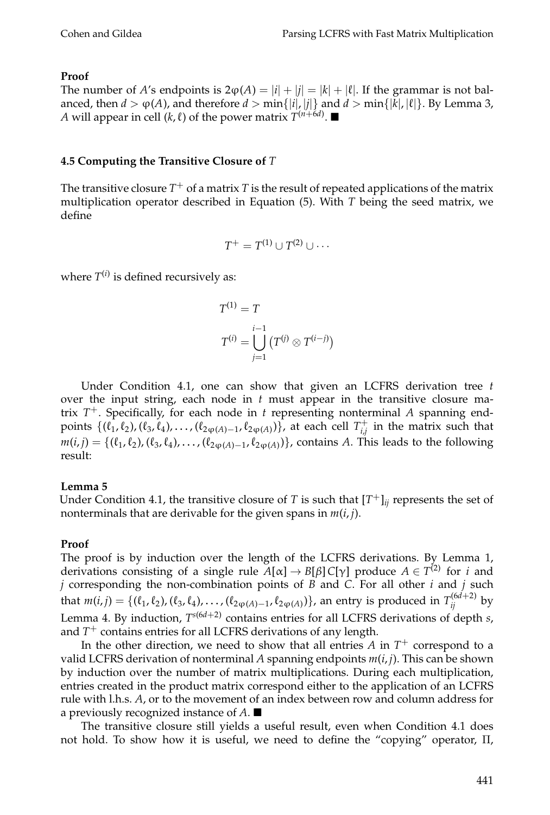## **Proof**

The number of *A*'s endpoints is  $2\varphi(A) = |i| + |j| = |k| + |\ell|$ . If the grammar is not balanced, then  $d > \varphi(A)$ , and therefore  $d > \min\{|i|, |j|\}$  and  $d > \min\{|k|, |\ell|\}$ . By Lemma 3, *A* will appear in cell (*k*,  $\ell$ ) of the power matrix  $T^{(n+6d)}$ .  $\blacksquare$ 

## **4.5 Computing the Transitive Closure of** *T*

The transitive closure  $T^{+}$  of a matrix  $T$  is the result of repeated applications of the matrix multiplication operator described in Equation (5). With *T* being the seed matrix, we define

$$
T^+ = T^{(1)} \cup T^{(2)} \cup \cdots
$$

where  $T^{(i)}$  is defined recursively as:

$$
T^{(1)} = T
$$

$$
T^{(i)} = \bigcup_{j=1}^{i-1} \left( T^{(j)} \otimes T^{(i-j)} \right)
$$

Under Condition 4.1, one can show that given an LCFRS derivation tree *t* over the input string, each node in *t* must appear in the transitive closure matrix *T* <sup>+</sup>. Specifically, for each node in *t* representing nonterminal *A* spanning endpoints  $\{(\ell_1^1, \ell_2), (\ell_3, \ell_4), \ldots, (\ell_{2\phi(A)-1}, \ell_{2\phi(A)})\}$ , at each cell  $T_{i,j}^+$  $\hat{t}^{\dagger}_{i,j}$  in the matrix such that  $m(i,j) = \{(\ell_1, \ell_2), (\ell_3, \ell_4), \ldots, (\ell_{2\varphi(A)-1}, \ell_{2\varphi(A)})\}$ , contains *A*. This leads to the following result:

## **Lemma 5**

Under Condition 4.1, the transitive closure of *T* is such that  $[T^+]_{ij}$  represents the set of nonterminals that are derivable for the given spans in *m*(*i*, *j*).

# **Proof**

The proof is by induction over the length of the LCFRS derivations. By Lemma 1, derivations consisting of a single rule  $A[\alpha] \to B[\beta]$  C[ $\gamma$ ] produce  $A \in T^{(2)}$  for *i* and *j* corresponding the non-combination points of *B* and *C*. For all other *i* and *j* such that  $m(i,j) = \{(\ell_1,\ell_2), (\ell_3,\ell_4), \ldots, (\ell_{2\phi(A)-1},\ell_{2\phi(A)})\}$ , an entry is produced in  $T_{ij}^{(6d+2)}$  by Lemma 4. By induction, *T <sup>s</sup>*(6*d*+2) contains entries for all LCFRS derivations of depth *s*, and *T* <sup>+</sup> contains entries for all LCFRS derivations of any length.

In the other direction, we need to show that all entries *A* in *T* <sup>+</sup> correspond to a valid LCFRS derivation of nonterminal A spanning endpoints  $m(i, j)$ . This can be shown by induction over the number of matrix multiplications. During each multiplication, entries created in the product matrix correspond either to the application of an LCFRS rule with l.h.s. *A*, or to the movement of an index between row and column address for a previously recognized instance of *A*.

The transitive closure still yields a useful result, even when Condition 4.1 does not hold. To show how it is useful, we need to define the "copying" operator, Π,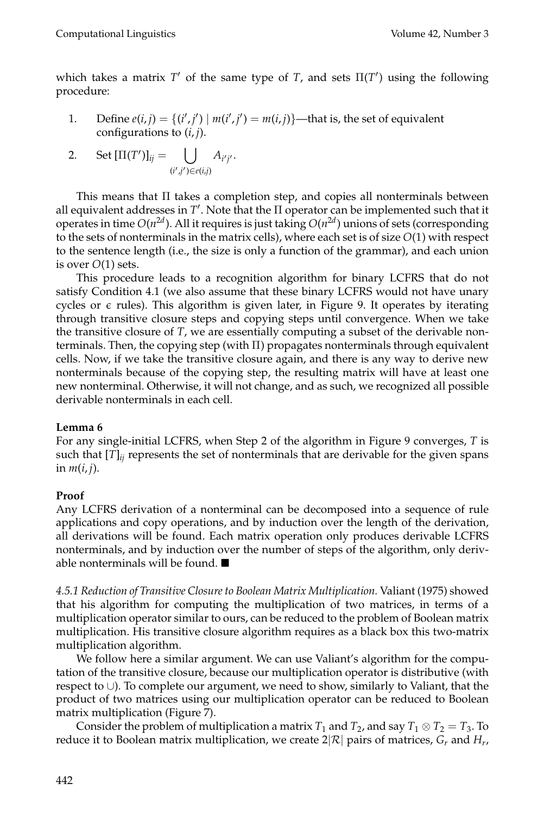which takes a matrix  $T'$  of the same type of  $T$ , and sets  $\Pi(T')$  using the following procedure:

1. Define  $e(i, j) = \{(i', j') | m(i', j') = m(i, j)\}$ —that is, the set of equivalent configurations to (*i*, *j*).

2. Set 
$$
[\Pi(T')]_{ij} = \bigcup_{(i',j') \in e(i,j)} A_{i'j'}.
$$

This means that Π takes a completion step, and copies all nonterminals between all equivalent addresses in  $T'$ . Note that the  $\Pi$  operator can be implemented such that it operates in time  $O(n^{2d})$ . All it requires is just taking  $O(n^{2d})$  unions of sets (corresponding to the sets of nonterminals in the matrix cells), where each set is of size *O*(1) with respect to the sentence length (i.e., the size is only a function of the grammar), and each union is over *O*(1) sets.

This procedure leads to a recognition algorithm for binary LCFRS that do not satisfy Condition 4.1 (we also assume that these binary LCFRS would not have unary cycles or  $\epsilon$  rules). This algorithm is given later, in Figure 9. It operates by iterating through transitive closure steps and copying steps until convergence. When we take the transitive closure of *T*, we are essentially computing a subset of the derivable nonterminals. Then, the copying step (with  $\Pi$ ) propagates nonterminals through equivalent cells. Now, if we take the transitive closure again, and there is any way to derive new nonterminals because of the copying step, the resulting matrix will have at least one new nonterminal. Otherwise, it will not change, and as such, we recognized all possible derivable nonterminals in each cell.

## **Lemma 6**

For any single-initial LCFRS, when Step 2 of the algorithm in Figure 9 converges, *T* is such that  $[T]_{ij}$  represents the set of nonterminals that are derivable for the given spans in  $m(i, j)$ .

## **Proof**

Any LCFRS derivation of a nonterminal can be decomposed into a sequence of rule applications and copy operations, and by induction over the length of the derivation, all derivations will be found. Each matrix operation only produces derivable LCFRS nonterminals, and by induction over the number of steps of the algorithm, only derivable nonterminals will be found.

*4.5.1 Reduction of Transitive Closure to Boolean Matrix Multiplication.* Valiant (1975) showed that his algorithm for computing the multiplication of two matrices, in terms of a multiplication operator similar to ours, can be reduced to the problem of Boolean matrix multiplication. His transitive closure algorithm requires as a black box this two-matrix multiplication algorithm.

We follow here a similar argument. We can use Valiant's algorithm for the computation of the transitive closure, because our multiplication operator is distributive (with respect to ∪). To complete our argument, we need to show, similarly to Valiant, that the product of two matrices using our multiplication operator can be reduced to Boolean matrix multiplication (Figure 7).

Consider the problem of multiplication a matrix  $T_1$  and  $T_2$ , and say  $T_1 \otimes T_2 = T_3$ . To reduce it to Boolean matrix multiplication, we create 2 $|\mathcal{R}|$  pairs of matrices,  $G_r$  and  $H_r$ ,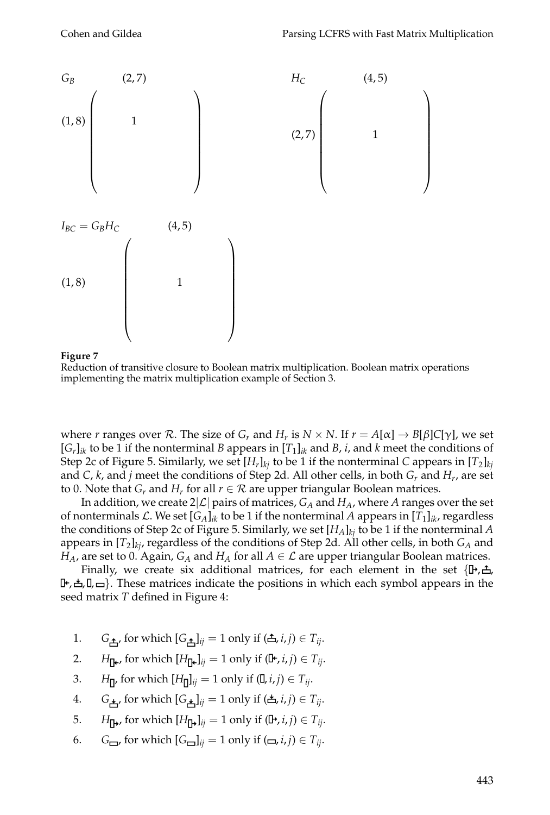

#### **Figure 7**

Reduction of transitive closure to Boolean matrix multiplication. Boolean matrix operations implementing the matrix multiplication example of Section 3.

where *r* ranges over  $R$ . The size of  $G_r$  and  $H_r$  is  $N \times N$ . If  $r = A[\alpha] \rightarrow B[\beta]C[\gamma]$ , we set  $[G_r]_{ik}$  to be 1 if the nonterminal *B* appears in  $[T_1]_{ik}$  and *B*, *i*, and *k* meet the conditions of Step 2c of Figure 5. Similarly, we set  $[H_r]_{kj}$  to be 1 if the nonterminal  $C$  appears in  $[T_2]_{kj}$ and *C*, *k*, and *j* meet the conditions of Step 2d. All other cells, in both *G<sup>r</sup>* and *H<sup>r</sup>* , are set to 0. Note that  $G_r$  and  $H_r$  for all  $r \in \mathcal{R}$  are upper triangular Boolean matrices.

In addition, we create  $2|\mathcal{L}|$  pairs of matrices,  $G_A$  and  $H_A$ , where A ranges over the set of nonterminals  $\mathcal{L}.$  We set [ $G_A]_{ik}$  to be 1 if the nonterminal  $A$  appears in [ $T_1]_{ik}$ , regardless the conditions of Step 2c of Figure 5. Similarly, we set [*HA*]*kj* to be 1 if the nonterminal *A* appears in [*T*<sup>2</sup> ]*kj*, regardless of the conditions of Step 2d. All other cells, in both *G<sup>A</sup>* and *H*<sub>*A*</sub>, are set to 0. Again, *G*<sub>*A*</sub> and *H*<sub>*A*</sub> for all  $A \in \mathcal{L}$  are upper triangular Boolean matrices.

Finally, we create six additional matrices, for each element in the set  $\{\mathbb{P}, \triangle,$  $[F, \Delta, \Box]$ . These matrices indicate the positions in which each symbol appears in the seed matrix *T* defined in Figure 4:

- 1. *G*<sub> $\uparrow$ </sub>, for which  $[G_{\uparrow}\downarrow]_{ij} = 1$  only if  $(\uparrow\uparrow, i, j) \in T_{ij}$ .
- 2. *H*<sub> $\Gamma$ k</sub>, for which  $[H_{\Gamma}$ <sub>*ij*</sub> = 1 only if  $(\mathbb{I}^{\epsilon}, i, j) \in T_{ij}$ .
- 3. *H*<sub> $\Pi$ </sub>, for which  $[H_{\Pi}]_{ij} = 1$  only if  $(\Pi, i, j) \in T_{ij}$ .
- 4. *G*<sub> $\neq$ </sub>, for which  $[G_{\neq}]_{ij} = 1$  only if  $(\stackrel{\ast}{\Leftarrow}, i, j) \in T_{ij}$ .
- 5. *H*<sub> $\mu$ </sub>, for which  $[H_{\mu}]_{ii} = 1$  only if  $(\mu, i, j) \in T_{ii}$ .
- 6.  $G_{\square}$ , for which  $[G_{\square}]_{ij} = 1$  only if  $(\square, i, j) \in T_{ij}$ .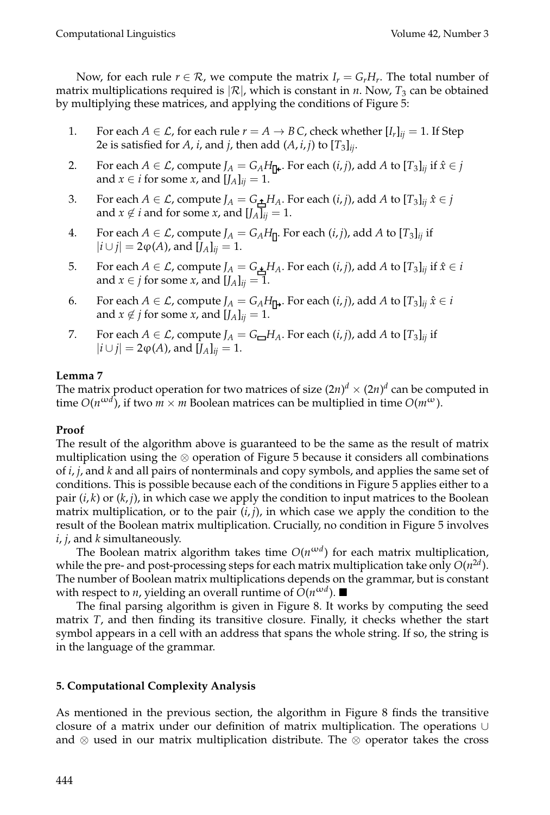Now, for each rule  $r \in \mathcal{R}$ , we compute the matrix  $I_r = G_r H_r$ . The total number of matrix multiplications required is  $|\mathcal{R}|$ , which is constant in *n*. Now,  $T_3$  can be obtained by multiplying these matrices, and applying the conditions of Figure 5:

- 1. For each  $A \in \mathcal{L}$ , for each rule  $r = A \rightarrow B C$ , check whether  $[I_r]_{ij} = 1$ . If Step 2e is satisfied for *A*, *i*, and *j*, then add (*A*, *i*, *j*) to [*T*<sup>3</sup> ]*ij*.
- 2. For each  $A \in \mathcal{L}$ , compute  $J_A = G_A H_{\Pi^{\mathbf{L}}}$ . For each  $(i, j)$ , add  $A$  to  $[T_3]_{ij}$  if  $\hat{x} \in j$ and *x*  $\in$  *i* for some *x*, and  $[J_A]_{ij} = 1$ .
- 3. For each  $A \in \mathcal{L}$ , compute  $J_A = G_{\pm} H_A$ . For each  $(i, j)$ , add  $A$  to  $[T_3]_{ij}$   $\hat{x} \in j$ and  $x \notin i$  and for some *x*, and  $[I_A]_{ii} = 1$ .
- 4. For each  $A \in \mathcal{L}$ , compute  $J_A = G_A H_{\Pi}$ . For each  $(i, j)$ , add  $A$  to  $[T_3]_{ij}$  if  $|i \cup j|$  = 2 $\phi$ (*A*), and [*J*<sub>*A*</sub>]<sub>*ij*</sub> = 1.
- 5. For each  $A \in \mathcal{L}$ , compute  $J_A = G_{\pm} H_A$ . For each  $(i, j)$ , add  $A$  to  $[T_3]_{ij}$  if  $\hat{x} \in i$ and *x*  $\in$  *j* for some *x*, and  $[I_A]_{ij} = 1$ .
- 6. For each  $A \in \mathcal{L}$ , compute  $J_A = G_A H_{\mathbf{D}}$ . For each  $(i, j)$ , add  $A$  to  $[T_3]_{ij}$   $\hat{x} \in i$ and  $x \notin j$  for some  $x$ , and  $[I_A]_{ii} = 1$ .
- 7. For each  $A \in \mathcal{L}$ , compute  $J_A = G_{\square} H_A$ . For each  $(i, j)$ , add  $A$  to  $[T_3]_{ij}$  if  $|i \cup j|$  = 2 $\phi$ (*A*), and [*J*<sub>*A*</sub>]<sub>*ii*</sub> = 1.

# **Lemma 7**

The matrix product operation for two matrices of size  $(2n)^d \times (2n)^d$  can be computed in time  $O(n^{\omega d})$ , if two  $m \times m$  Boolean matrices can be multiplied in time  $O(m^{\omega})$ .

## **Proof**

The result of the algorithm above is guaranteed to be the same as the result of matrix multiplication using the ⊗ operation of Figure 5 because it considers all combinations of *i*, *j*, and *k* and all pairs of nonterminals and copy symbols, and applies the same set of conditions. This is possible because each of the conditions in Figure 5 applies either to a pair  $(i, k)$  or  $(k, j)$ , in which case we apply the condition to input matrices to the Boolean matrix multiplication, or to the pair (*i*, *j*), in which case we apply the condition to the result of the Boolean matrix multiplication. Crucially, no condition in Figure 5 involves *i*, *j*, and *k* simultaneously.

The Boolean matrix algorithm takes time  $O(n^{\omega d})$  for each matrix multiplication, while the pre- and post-processing steps for each matrix multiplication take only  $O(n^{2d})$ . The number of Boolean matrix multiplications depends on the grammar, but is constant with respect to *n,* yielding an overall runtime of  $\tilde{O}(n^{\omega d})$ .  $\blacksquare$ 

The final parsing algorithm is given in Figure 8. It works by computing the seed matrix *T*, and then finding its transitive closure. Finally, it checks whether the start symbol appears in a cell with an address that spans the whole string. If so, the string is in the language of the grammar.

# **5. Computational Complexity Analysis**

As mentioned in the previous section, the algorithm in Figure 8 finds the transitive closure of a matrix under our definition of matrix multiplication. The operations ∪ and ⊗ used in our matrix multiplication distribute. The ⊗ operator takes the cross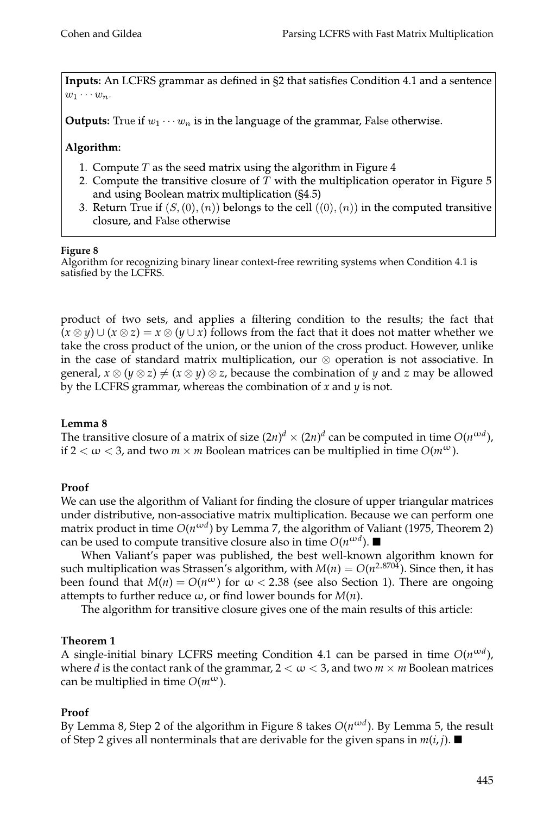Inputs: An LCFRS grammar as defined in §2 that satisfies Condition 4.1 and a sentence  $w_1 \cdots w_n$ .

**Outputs:** True if  $w_1 \cdots w_n$  is in the language of the grammar, False otherwise.

# Algorithm:

- 1. Compute  $T$  as the seed matrix using the algorithm in Figure  $4$
- 2. Compute the transitive closure of  $T$  with the multiplication operator in Figure 5 and using Boolean matrix multiplication (§4.5)
- 3. Return True if  $(S, (0), (n))$  belongs to the cell  $((0), (n))$  in the computed transitive closure, and False otherwise

## **Figure 8**

Algorithm for recognizing binary linear context-free rewriting systems when Condition 4.1 is satisfied by the LCFRS.

product of two sets, and applies a filtering condition to the results; the fact that  $(x \otimes y) \cup (x \otimes z) = x \otimes (y \cup x)$  follows from the fact that it does not matter whether we take the cross product of the union, or the union of the cross product. However, unlike in the case of standard matrix multiplication, our ⊗ operation is not associative. In general,  $x \otimes (y \otimes z) \neq (x \otimes y) \otimes z$ , because the combination of *y* and *z* may be allowed by the LCFRS grammar, whereas the combination of *x* and *y* is not.

# **Lemma 8**

The transitive closure of a matrix of size  $(2n)^d \times (2n)^d$  can be computed in time  $O(n^{\omega d})$ , if  $2 < \omega < 3$ , and two  $m \times m$  Boolean matrices can be multiplied in time  $O(m^{\omega})$ .

# **Proof**

We can use the algorithm of Valiant for finding the closure of upper triangular matrices under distributive, non-associative matrix multiplication. Because we can perform one matrix product in time *O*(*n*ω*<sup>d</sup>* ) by Lemma 7, the algorithm of Valiant (1975, Theorem 2) can be used to compute transitive closure also in time  $O(n^{\omega d})$ .

When Valiant's paper was published, the best well-known algorithm known for such multiplication was Strassen's algorithm, with  $M(n) = O(n^{2.8704})$ . Since then, it has been found that  $M(n) = O(n^{\omega})$  for  $\omega < 2.38$  (see also Section 1). There are ongoing attempts to further reduce  $\omega$ , or find lower bounds for  $M(n)$ .

The algorithm for transitive closure gives one of the main results of this article:

# **Theorem 1**

A single-initial binary LCFRS meeting Condition 4.1 can be parsed in time  $O(n^{\omega d})$ , where *d* is the contact rank of the grammar,  $2 < \omega < 3$ , and two  $m \times m$  Boolean matrices can be multiplied in time  $O(m^{\omega})$ .

# **Proof**

By Lemma 8, Step 2 of the algorithm in Figure 8 takes *O*(*n*ω*<sup>d</sup>* ). By Lemma 5, the result of Step 2 gives all nonterminals that are derivable for the given spans in  $m(i, j)$ .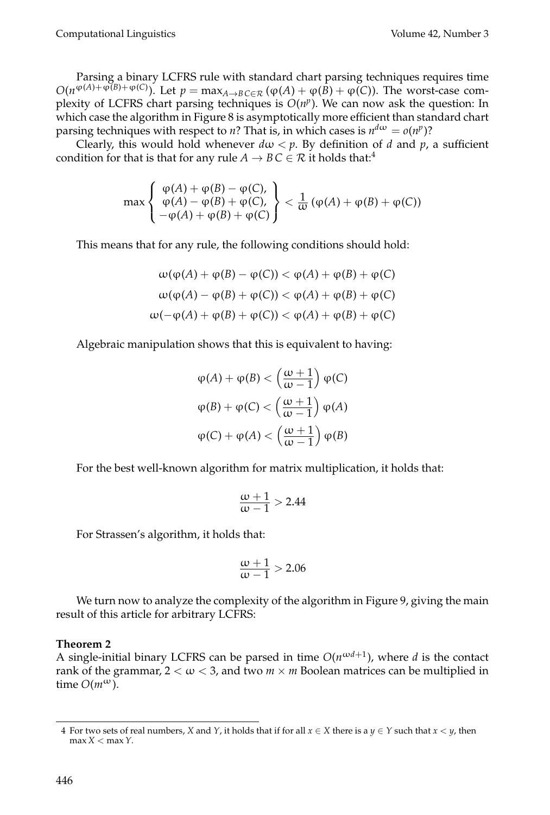Parsing a binary LCFRS rule with standard chart parsing techniques requires time  $O(n^{\varphi(A)+\varphi(B)+\varphi(C)})$ . Let  $p=\max_{A\to B} c\in\mathcal{R}$  ( $\varphi(A)+\varphi(\overline{B})+\varphi(\overline{C})$ ). The worst-case complexity of LCFRS chart parsing techniques is  $O(n^p)$ . We can now ask the question: In which case the algorithm in Figure 8 is asymptotically more efficient than standard chart parsing techniques with respect to *n*? That is, in which cases is  $n^{d\omega} = o(n^p)$ ?

Clearly, this would hold whenever  $d\omega < p$ . By definition of *d* and *p*, a sufficient condition for that is that for any rule *A*  $\rightarrow$  *B* C  $\in$  *R* it holds that:<sup>4</sup>

$$
\max\left\{\begin{array}{l}\varphi(A)+\varphi(B)-\varphi(C),\\ \varphi(A)-\varphi(B)+\varphi(C),\\ -\varphi(A)+\varphi(B)+\varphi(C)\end{array}\right\}<\frac{1}{\omega}\left(\varphi(A)+\varphi(B)+\varphi(C)\right)
$$

This means that for any rule, the following conditions should hold:

$$
\omega(\varphi(A) + \varphi(B) - \varphi(C)) < \varphi(A) + \varphi(B) + \varphi(C)
$$
\n
$$
\omega(\varphi(A) - \varphi(B) + \varphi(C)) < \varphi(A) + \varphi(B) + \varphi(C)
$$
\n
$$
\omega(-\varphi(A) + \varphi(B) + \varphi(C)) < \varphi(A) + \varphi(B) + \varphi(C)
$$

Algebraic manipulation shows that this is equivalent to having:

$$
\varphi(A) + \varphi(B) < \left(\frac{\omega + 1}{\omega - 1}\right) \varphi(C)
$$
\n
$$
\varphi(B) + \varphi(C) < \left(\frac{\omega + 1}{\omega - 1}\right) \varphi(A)
$$
\n
$$
\varphi(C) + \varphi(A) < \left(\frac{\omega + 1}{\omega - 1}\right) \varphi(B)
$$

For the best well-known algorithm for matrix multiplication, it holds that:

$$
\frac{\omega+1}{\omega-1}>2.44
$$

For Strassen's algorithm, it holds that:

$$
\frac{\omega+1}{\omega-1} > 2.06
$$

We turn now to analyze the complexity of the algorithm in Figure 9, giving the main result of this article for arbitrary LCFRS:

## **Theorem 2**

A single-initial binary LCFRS can be parsed in time  $O(n^{\omega d+1})$ , where *d* is the contact rank of the grammar,  $2 < \omega < 3$ , and two  $m \times m$  Boolean matrices can be multiplied in time  $O(m^{\omega})$ .

<sup>4</sup> For two sets of real numbers, *X* and *Y*, it holds that if for all  $x \in X$  there is a  $y \in Y$  such that  $x \leq y$ , then max *X* < max*Y*.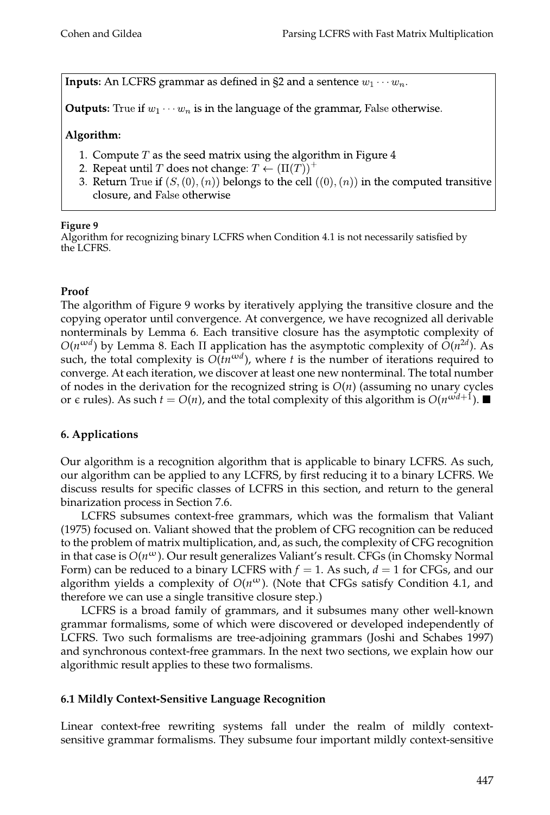**Inputs:** An LCFRS grammar as defined in §2 and a sentence  $w_1 \cdots w_n$ .

**Outputs:** True if  $w_1 \cdots w_n$  is in the language of the grammar, False otherwise.

# Algorithm:

- 1. Compute  $T$  as the seed matrix using the algorithm in Figure 4
- 2. Repeat until T does not change:  $T \leftarrow (\Pi(T))^{+}$
- 3. Return True if  $(S, (0), (n))$  belongs to the cell  $((0), (n))$  in the computed transitive closure, and False otherwise

## **Figure 9**

Algorithm for recognizing binary LCFRS when Condition 4.1 is not necessarily satisfied by the LCFRS.

# **Proof**

The algorithm of Figure 9 works by iteratively applying the transitive closure and the copying operator until convergence. At convergence, we have recognized all derivable nonterminals by Lemma 6. Each transitive closure has the asymptotic complexity of *O*(*n*<sup>ω*d*</sup>) by Lemma 8. Each Π application has the asymptotic complexity of  $O(n^{2d})$ . As such, the total complexity is  $O(tn^{\omega d})$ , where *t* is the number of iterations required to converge. At each iteration, we discover at least one new nonterminal. The total number of nodes in the derivation for the recognized string is *O*(*n*) (assuming no unary cycles or  $\epsilon$  rules). As such  $t = O(n)$ , and the total complexity of this algorithm is  $O(n^{\omega d + 1})$ .

# **6. Applications**

Our algorithm is a recognition algorithm that is applicable to binary LCFRS. As such, our algorithm can be applied to any LCFRS, by first reducing it to a binary LCFRS. We discuss results for specific classes of LCFRS in this section, and return to the general binarization process in Section 7.6.

LCFRS subsumes context-free grammars, which was the formalism that Valiant (1975) focused on. Valiant showed that the problem of CFG recognition can be reduced to the problem of matrix multiplication, and, as such, the complexity of CFG recognition in that case is *O*(*n*ω). Our result generalizes Valiant's result. CFGs (in Chomsky Normal Form) can be reduced to a binary LCFRS with  $f = 1$ . As such,  $d = 1$  for CFGs, and our algorithm yields a complexity of  $O(n^{\omega})$ . (Note that CFGs satisfy Condition 4.1, and therefore we can use a single transitive closure step.)

LCFRS is a broad family of grammars, and it subsumes many other well-known grammar formalisms, some of which were discovered or developed independently of LCFRS. Two such formalisms are tree-adjoining grammars (Joshi and Schabes 1997) and synchronous context-free grammars. In the next two sections, we explain how our algorithmic result applies to these two formalisms.

# **6.1 Mildly Context-Sensitive Language Recognition**

Linear context-free rewriting systems fall under the realm of mildly contextsensitive grammar formalisms. They subsume four important mildly context-sensitive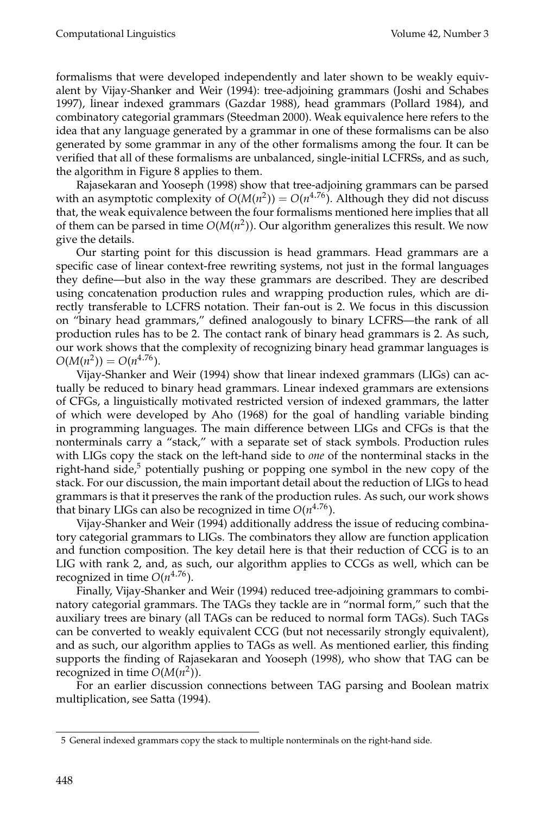formalisms that were developed independently and later shown to be weakly equivalent by Vijay-Shanker and Weir (1994): tree-adjoining grammars (Joshi and Schabes 1997), linear indexed grammars (Gazdar 1988), head grammars (Pollard 1984), and combinatory categorial grammars (Steedman 2000). Weak equivalence here refers to the idea that any language generated by a grammar in one of these formalisms can be also generated by some grammar in any of the other formalisms among the four. It can be verified that all of these formalisms are unbalanced, single-initial LCFRSs, and as such, the algorithm in Figure 8 applies to them.

Rajasekaran and Yooseph (1998) show that tree-adjoining grammars can be parsed with an asymptotic complexity of  $O(M(n^2)) = O(n^{4.76})$ . Although they did not discuss that, the weak equivalence between the four formalisms mentioned here implies that all of them can be parsed in time *O*(*M*(*n* 2 )). Our algorithm generalizes this result. We now give the details.

Our starting point for this discussion is head grammars. Head grammars are a specific case of linear context-free rewriting systems, not just in the formal languages they define—but also in the way these grammars are described. They are described using concatenation production rules and wrapping production rules, which are directly transferable to LCFRS notation. Their fan-out is 2. We focus in this discussion on "binary head grammars," defined analogously to binary LCFRS—the rank of all production rules has to be 2. The contact rank of binary head grammars is 2. As such, our work shows that the complexity of recognizing binary head grammar languages is  $O(M(n^2)) = O(n^{4.76}).$ 

Vijay-Shanker and Weir (1994) show that linear indexed grammars (LIGs) can actually be reduced to binary head grammars. Linear indexed grammars are extensions of CFGs, a linguistically motivated restricted version of indexed grammars, the latter of which were developed by Aho (1968) for the goal of handling variable binding in programming languages. The main difference between LIGs and CFGs is that the nonterminals carry a "stack," with a separate set of stack symbols. Production rules with LIGs copy the stack on the left-hand side to *one* of the nonterminal stacks in the right-hand side, $5$  potentially pushing or popping one symbol in the new copy of the stack. For our discussion, the main important detail about the reduction of LIGs to head grammars is that it preserves the rank of the production rules. As such, our work shows that binary LIGs can also be recognized in time  $O(n^{4.76})$ .

Vijay-Shanker and Weir (1994) additionally address the issue of reducing combinatory categorial grammars to LIGs. The combinators they allow are function application and function composition. The key detail here is that their reduction of CCG is to an LIG with rank 2, and, as such, our algorithm applies to CCGs as well, which can be recognized in time *O*(*n* <sup>4</sup>.76).

Finally, Vijay-Shanker and Weir (1994) reduced tree-adjoining grammars to combinatory categorial grammars. The TAGs they tackle are in "normal form," such that the auxiliary trees are binary (all TAGs can be reduced to normal form TAGs). Such TAGs can be converted to weakly equivalent CCG (but not necessarily strongly equivalent), and as such, our algorithm applies to TAGs as well. As mentioned earlier, this finding supports the finding of Rajasekaran and Yooseph (1998), who show that TAG can be recognized in time  $O(M(n^2))$ .

For an earlier discussion connections between TAG parsing and Boolean matrix multiplication, see Satta (1994).

<sup>5</sup> General indexed grammars copy the stack to multiple nonterminals on the right-hand side.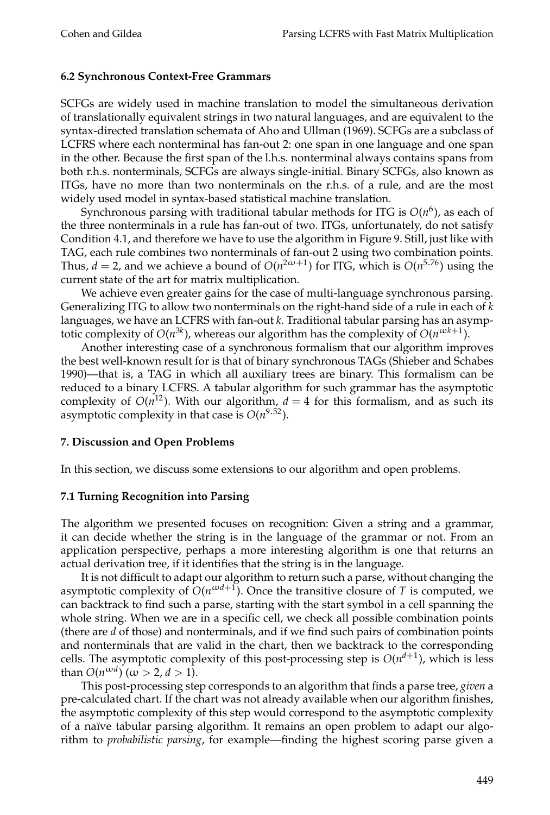#### **6.2 Synchronous Context-Free Grammars**

SCFGs are widely used in machine translation to model the simultaneous derivation of translationally equivalent strings in two natural languages, and are equivalent to the syntax-directed translation schemata of Aho and Ullman (1969). SCFGs are a subclass of LCFRS where each nonterminal has fan-out 2: one span in one language and one span in the other. Because the first span of the l.h.s. nonterminal always contains spans from both r.h.s. nonterminals, SCFGs are always single-initial. Binary SCFGs, also known as ITGs, have no more than two nonterminals on the r.h.s. of a rule, and are the most widely used model in syntax-based statistical machine translation.

Synchronous parsing with traditional tabular methods for ITG is *O*(*n* 6 ), as each of the three nonterminals in a rule has fan-out of two. ITGs, unfortunately, do not satisfy Condition 4.1, and therefore we have to use the algorithm in Figure 9. Still, just like with TAG, each rule combines two nonterminals of fan-out 2 using two combination points. Thus,  $d = 2$ , and we achieve a bound of  $O(n^{2\omega+1})$  for ITG, which is  $O(n^{5.76})$  using the current state of the art for matrix multiplication.

We achieve even greater gains for the case of multi-language synchronous parsing. Generalizing ITG to allow two nonterminals on the right-hand side of a rule in each of *k* languages, we have an LCFRS with fan-out *k*. Traditional tabular parsing has an asymptotic complexity of  $O(n^{3k})$ , whereas our algorithm has the complexity of  $O(n^{\omega k+1})$ .

Another interesting case of a synchronous formalism that our algorithm improves the best well-known result for is that of binary synchronous TAGs (Shieber and Schabes 1990)—that is, a TAG in which all auxiliary trees are binary. This formalism can be reduced to a binary LCFRS. A tabular algorithm for such grammar has the asymptotic complexity of  $O(n^{12})$ . With our algorithm,  $d = 4$  for this formalism, and as such its asymptotic complexity in that case is  $O(n^{9.52})$ .

#### **7. Discussion and Open Problems**

In this section, we discuss some extensions to our algorithm and open problems.

#### **7.1 Turning Recognition into Parsing**

The algorithm we presented focuses on recognition: Given a string and a grammar, it can decide whether the string is in the language of the grammar or not. From an application perspective, perhaps a more interesting algorithm is one that returns an actual derivation tree, if it identifies that the string is in the language.

It is not difficult to adapt our algorithm to return such a parse, without changing the asymptotic complexity of  $O(n^{\omega d+1})$ . Once the transitive closure of *T* is computed, we can backtrack to find such a parse, starting with the start symbol in a cell spanning the whole string. When we are in a specific cell, we check all possible combination points (there are *d* of those) and nonterminals, and if we find such pairs of combination points and nonterminals that are valid in the chart, then we backtrack to the corresponding cells. The asymptotic complexity of this post-processing step is  $O(n^{d+1})$ , which is less than  $O(n^{\omega d})$   $(\omega > 2, d > 1)$ .

This post-processing step corresponds to an algorithm that finds a parse tree, *given* a pre-calculated chart. If the chart was not already available when our algorithm finishes, the asymptotic complexity of this step would correspond to the asymptotic complexity of a naïve tabular parsing algorithm. It remains an open problem to adapt our algorithm to *probabilistic parsing*, for example—finding the highest scoring parse given a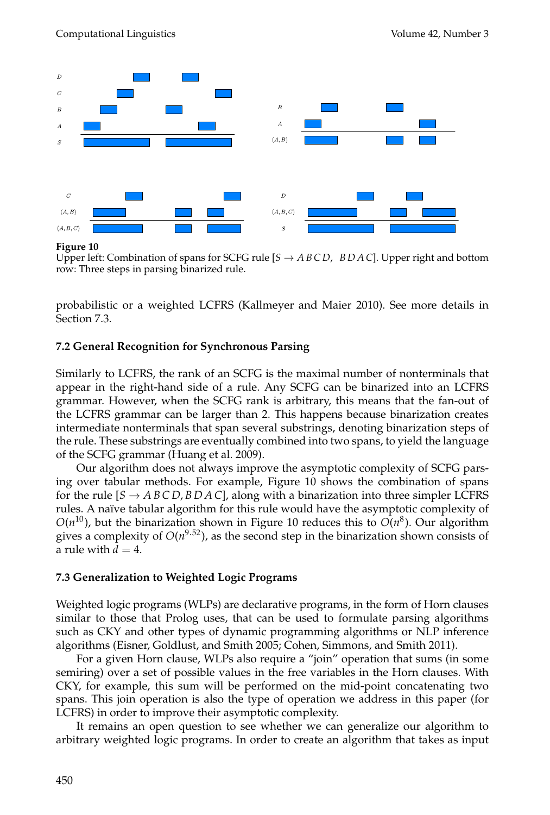

#### **Figure 10**

Upper left: Combination of spans for SCFG rule  $[*S* \rightarrow *A B C D*, *B D A C*].$  Upper right and bottom row: Three steps in parsing binarized rule.

probabilistic or a weighted LCFRS (Kallmeyer and Maier 2010). See more details in Section 7.3.

## **7.2 General Recognition for Synchronous Parsing**

Similarly to LCFRS, the rank of an SCFG is the maximal number of nonterminals that appear in the right-hand side of a rule. Any SCFG can be binarized into an LCFRS grammar. However, when the SCFG rank is arbitrary, this means that the fan-out of the LCFRS grammar can be larger than 2. This happens because binarization creates intermediate nonterminals that span several substrings, denoting binarization steps of the rule. These substrings are eventually combined into two spans, to yield the language of the SCFG grammar (Huang et al. 2009).

Our algorithm does not always improve the asymptotic complexity of SCFG parsing over tabular methods. For example, Figure 10 shows the combination of spans for the rule  $[S \rightarrow ABCD, BDAC]$ , along with a binarization into three simpler LCFRS rules. A naïve tabular algorithm for this rule would have the asymptotic complexity of  $O(n^{10})$ , but the binarization shown in Figure 10 reduces this to  $O(n^8)$ . Our algorithm gives a complexity of *O*(*n* <sup>9</sup>.52), as the second step in the binarization shown consists of a rule with  $d = 4$ .

#### **7.3 Generalization to Weighted Logic Programs**

Weighted logic programs (WLPs) are declarative programs, in the form of Horn clauses similar to those that Prolog uses, that can be used to formulate parsing algorithms such as CKY and other types of dynamic programming algorithms or NLP inference algorithms (Eisner, Goldlust, and Smith 2005; Cohen, Simmons, and Smith 2011).

For a given Horn clause, WLPs also require a "join" operation that sums (in some semiring) over a set of possible values in the free variables in the Horn clauses. With CKY, for example, this sum will be performed on the mid-point concatenating two spans. This join operation is also the type of operation we address in this paper (for LCFRS) in order to improve their asymptotic complexity.

It remains an open question to see whether we can generalize our algorithm to arbitrary weighted logic programs. In order to create an algorithm that takes as input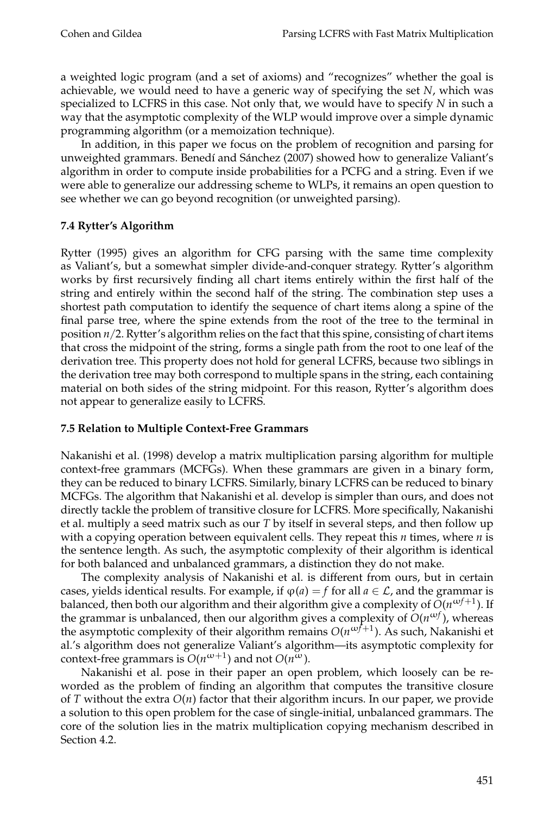a weighted logic program (and a set of axioms) and "recognizes" whether the goal is achievable, we would need to have a generic way of specifying the set *N*, which was specialized to LCFRS in this case. Not only that, we would have to specify *N* in such a way that the asymptotic complexity of the WLP would improve over a simple dynamic programming algorithm (or a memoization technique).

In addition, in this paper we focus on the problem of recognition and parsing for unweighted grammars. Benedí and Sánchez (2007) showed how to generalize Valiant's algorithm in order to compute inside probabilities for a PCFG and a string. Even if we were able to generalize our addressing scheme to WLPs, it remains an open question to see whether we can go beyond recognition (or unweighted parsing).

## **7.4 Rytter's Algorithm**

Rytter (1995) gives an algorithm for CFG parsing with the same time complexity as Valiant's, but a somewhat simpler divide-and-conquer strategy. Rytter's algorithm works by first recursively finding all chart items entirely within the first half of the string and entirely within the second half of the string. The combination step uses a shortest path computation to identify the sequence of chart items along a spine of the final parse tree, where the spine extends from the root of the tree to the terminal in position *n*/2. Rytter's algorithm relies on the fact that this spine, consisting of chart items that cross the midpoint of the string, forms a single path from the root to one leaf of the derivation tree. This property does not hold for general LCFRS, because two siblings in the derivation tree may both correspond to multiple spans in the string, each containing material on both sides of the string midpoint. For this reason, Rytter's algorithm does not appear to generalize easily to LCFRS.

## **7.5 Relation to Multiple Context-Free Grammars**

Nakanishi et al. (1998) develop a matrix multiplication parsing algorithm for multiple context-free grammars (MCFGs). When these grammars are given in a binary form, they can be reduced to binary LCFRS. Similarly, binary LCFRS can be reduced to binary MCFGs. The algorithm that Nakanishi et al. develop is simpler than ours, and does not directly tackle the problem of transitive closure for LCFRS. More specifically, Nakanishi et al. multiply a seed matrix such as our *T* by itself in several steps, and then follow up with a copying operation between equivalent cells. They repeat this *n* times, where *n* is the sentence length. As such, the asymptotic complexity of their algorithm is identical for both balanced and unbalanced grammars, a distinction they do not make.

The complexity analysis of Nakanishi et al. is different from ours, but in certain cases, yields identical results. For example, if  $\varphi(a) = f$  for all  $a \in \mathcal{L}$ , and the grammar is balanced, then both our algorithm and their algorithm give a complexity of  $\tilde{O}(n^{\omega f+1})$ . If the grammar is unbalanced, then our algorithm gives a complexity of *O*(*n*ω*<sup>f</sup>* ), whereas the asymptotic complexity of their algorithm remains *O*(*n*ω*f*+<sup>1</sup> ). As such, Nakanishi et al.'s algorithm does not generalize Valiant's algorithm—its asymptotic complexity for context-free grammars is  $O(n^{\omega+1})$  and not  $O(n^{\omega})$ .

Nakanishi et al. pose in their paper an open problem, which loosely can be reworded as the problem of finding an algorithm that computes the transitive closure of *T* without the extra *O*(*n*) factor that their algorithm incurs. In our paper, we provide a solution to this open problem for the case of single-initial, unbalanced grammars. The core of the solution lies in the matrix multiplication copying mechanism described in Section 4.2.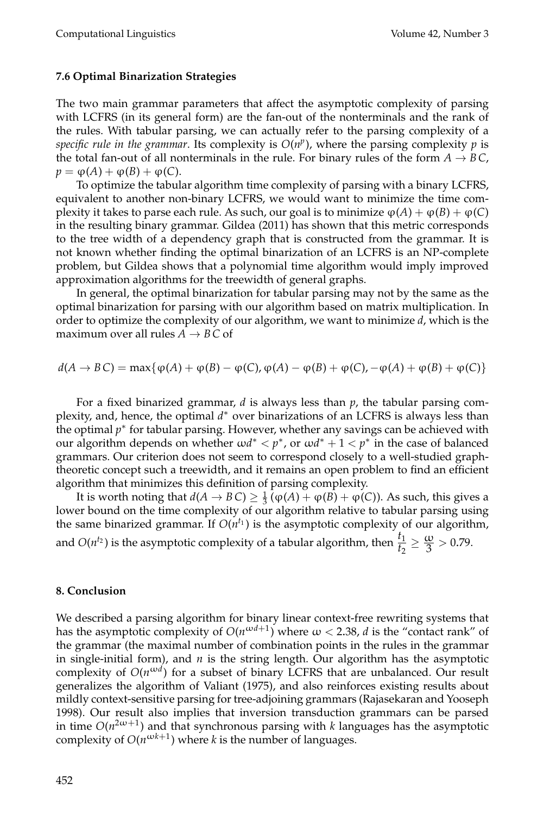#### **7.6 Optimal Binarization Strategies**

The two main grammar parameters that affect the asymptotic complexity of parsing with LCFRS (in its general form) are the fan-out of the nonterminals and the rank of the rules. With tabular parsing, we can actually refer to the parsing complexity of a specific rule in the grammar. Its complexity is  $O(n^p)$ , where the parsing complexity  $p$  is the total fan-out of all nonterminals in the rule. For binary rules of the form  $A \rightarrow BC$ ,  $p = \varphi(A) + \varphi(B) + \varphi(C)$ .

To optimize the tabular algorithm time complexity of parsing with a binary LCFRS, equivalent to another non-binary LCFRS, we would want to minimize the time complexity it takes to parse each rule. As such, our goal is to minimize  $\varphi(A) + \varphi(B) + \varphi(C)$ in the resulting binary grammar. Gildea (2011) has shown that this metric corresponds to the tree width of a dependency graph that is constructed from the grammar. It is not known whether finding the optimal binarization of an LCFRS is an NP-complete problem, but Gildea shows that a polynomial time algorithm would imply improved approximation algorithms for the treewidth of general graphs.

In general, the optimal binarization for tabular parsing may not by the same as the optimal binarization for parsing with our algorithm based on matrix multiplication. In order to optimize the complexity of our algorithm, we want to minimize *d*, which is the maximum over all rules  $A \rightarrow BC$  of

 $d(A \to BC) = \max\{\phi(A) + \phi(B) - \phi(C), \phi(A) - \phi(B) + \phi(C), -\phi(A) + \phi(B) + \phi(C)\}\$ 

For a fixed binarized grammar, *d* is always less than *p*, the tabular parsing complexity, and, hence, the optimal  $d^*$  over binarizations of an LCFRS is always less than the optimal p\* for tabular parsing. However, whether any savings can be achieved with our algorithm depends on whether  $\omega d^* < p^*$ , or  $\omega d^* + 1 < p^*$  in the case of balanced grammars. Our criterion does not seem to correspond closely to a well-studied graphtheoretic concept such a treewidth, and it remains an open problem to find an efficient algorithm that minimizes this definition of parsing complexity.

It is worth noting that  $d(A \to BC) \geq \frac{1}{3} (\varphi(A) + \varphi(B) + \varphi(C))$ . As such, this gives a lower bound on the time complexity of our algorithm relative to tabular parsing using the same binarized grammar. If  $O(n^{t_1})$  is the asymptotic complexity of our algorithm, and *O*( $n^{t_2}$ ) is the asymptotic complexity of a tabular algorithm, then  $\frac{t_1}{t_2} \ge \frac{\omega}{3} > 0.79$ .

#### **8. Conclusion**

We described a parsing algorithm for binary linear context-free rewriting systems that has the asymptotic complexity of  $O(n^{\omega d+1})$  where  $\omega < 2.38$ , *d* is the "contact rank" of the grammar (the maximal number of combination points in the rules in the grammar in single-initial form), and *n* is the string length. Our algorithm has the asymptotic complexity of  $O(n^{\omega d})$  for a subset of binary LCFRS that are unbalanced. Our result generalizes the algorithm of Valiant (1975), and also reinforces existing results about mildly context-sensitive parsing for tree-adjoining grammars (Rajasekaran and Yooseph 1998). Our result also implies that inversion transduction grammars can be parsed in time  $O(n^{2\omega+1})$  and that synchronous parsing with *k* languages has the asymptotic complexity of  $O(n^{\omega k+1})$  where *k* is the number of languages.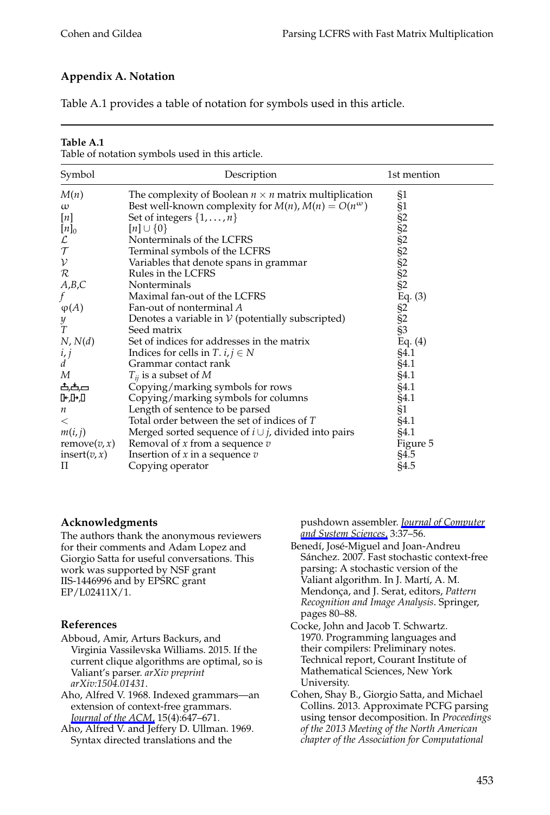# **Appendix A. Notation**

Table A.1 provides a table of notation for symbols used in this article.

#### **Table A.1**

Table of notation symbols used in this article.

| Symbol                                                                                                                                                     | Description                                                                                                                                                                                                                                                                                                                                                                                                                                                                                                                                                                                 | 1st mention                                                                                                              |
|------------------------------------------------------------------------------------------------------------------------------------------------------------|---------------------------------------------------------------------------------------------------------------------------------------------------------------------------------------------------------------------------------------------------------------------------------------------------------------------------------------------------------------------------------------------------------------------------------------------------------------------------------------------------------------------------------------------------------------------------------------------|--------------------------------------------------------------------------------------------------------------------------|
| M(n)<br>$\omega$<br>$[n]$<br>$[n]_0$<br>$\mathcal{L}% _{G}$<br>$\mathcal T$<br>$\mathcal V$                                                                | The complexity of Boolean $n \times n$ matrix multiplication<br>Best well-known complexity for $M(n)$ , $M(n) = O(n^{\omega})$<br>Set of integers $\{1, \ldots, n\}$<br>$[n] \cup \{0\}$<br>Nonterminals of the LCFRS<br>Terminal symbols of the LCFRS<br>Variables that denote spans in grammar                                                                                                                                                                                                                                                                                            | §1<br>$\S1$<br>\$2<br>\$2<br>\$2<br>\$2<br>\$2<br>\$2                                                                    |
| $\cal R$<br>A,B,C<br>$\varphi(A)$<br>$\frac{y}{T}$<br>N, N(d)<br>i, j<br>$\overline{d}$<br>М<br>占占戸<br>[⊦Д+Д<br>n<br>$\,<\,$<br>m(i, j)<br>remove $(v, x)$ | Rules in the LCFRS<br>Nonterminals<br>Maximal fan-out of the LCFRS<br>Fan-out of nonterminal A<br>Denotes a variable in $\mathcal V$ (potentially subscripted)<br>Seed matrix<br>Set of indices for addresses in the matrix<br>Indices for cells in $T$ . $i, j \in N$<br>Grammar contact rank<br>$T_{ij}$ is a subset of M<br>Copying/marking symbols for rows<br>Copying/marking symbols for columns<br>Length of sentence to be parsed<br>Total order between the set of indices of T<br>Merged sorted sequence of $i \cup j$ , divided into pairs<br>Removal of $x$ from a sequence $v$ | Eq. $(3)$<br>$rac{62}{62}$<br>53<br>Eq. (4)<br>§4.1<br>§4.1<br>§4.1<br>§4.1<br>§4.1<br>$\S1$<br>§4.1<br>§4.1<br>Figure 5 |
| insert(v, x)<br>П                                                                                                                                          | Insertion of $x$ in a sequence $v$<br>Copying operator                                                                                                                                                                                                                                                                                                                                                                                                                                                                                                                                      | §4.5<br>§4.5                                                                                                             |

#### **Acknowledgments**

The authors thank the anonymous reviewers for their comments and Adam Lopez and Giorgio Satta for useful conversations. This work was supported by NSF grant IIS-1446996 and by EPSRC grant EP/L02411X/1.

## **References**

- Abboud, Amir, Arturs Backurs, and Virginia Vassilevska Williams. 2015. If the current clique algorithms are optimal, so is Valiant's parser. *arXiv preprint arXiv:1504.01431*.
- Aho, Alfred V. 1968. Indexed grammars—an extension of context-free grammars. *[Journal of the ACM](http://www.mitpressjournals.org/action/showLinks?crossref=10.1145%2F321479.321488)*, 15(4):647–671.
- Aho, Alfred V. and Jeffery D. Ullman. 1969. Syntax directed translations and the

pushdown assembler. *[Journal of Computer](http://www.mitpressjournals.org/action/showLinks?crossref=10.1016%2FS0022-0000%2869%2980006-1) [and System Sciences](http://www.mitpressjournals.org/action/showLinks?crossref=10.1016%2FS0022-0000%2869%2980006-1)*, 3:37–56.

- Benedí, José-Miguel and Joan-Andreu Sánchez. 2007. Fast stochastic context-free parsing: A stochastic version of the Valiant algorithm. In J. Martí, A. M. Mendonça, and J. Serat, editors, Pattern *Recognition and Image Analysis*. Springer, pages 80–88.
- Cocke, John and Jacob T. Schwartz. 1970. Programming languages and their compilers: Preliminary notes. Technical report, Courant Institute of Mathematical Sciences, New York University.
- Cohen, Shay B., Giorgio Satta, and Michael Collins. 2013. Approximate PCFG parsing using tensor decomposition. In *Proceedings of the 2013 Meeting of the North American chapter of the Association for Computational*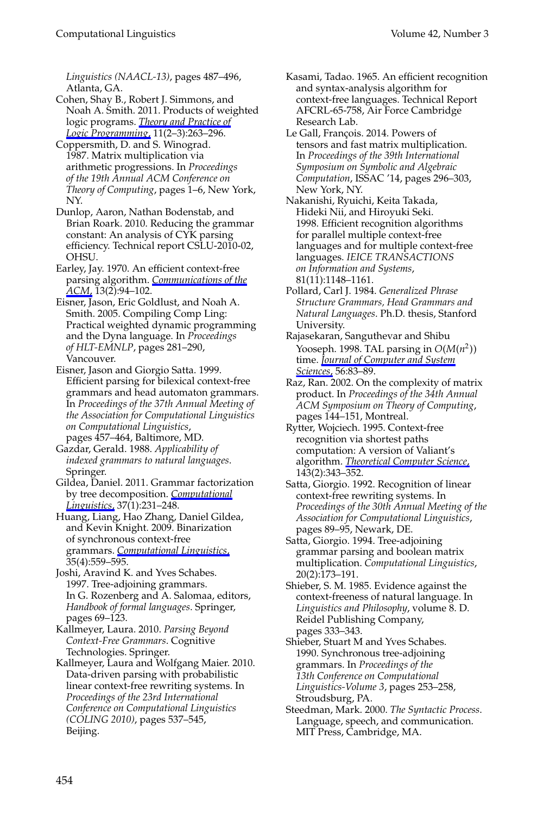*Linguistics (NAACL-13)*, pages 487–496, Atlanta, GA.

Cohen, Shay B., Robert J. Simmons, and Noah A. Smith. 2011. Products of weighted logic programs. *[Theory and Practice of](http://www.mitpressjournals.org/action/showLinks?crossref=10.1017%2FS1471068410000529) [Logic Programming](http://www.mitpressjournals.org/action/showLinks?crossref=10.1017%2FS1471068410000529)*, 11(2–3):263–296.

Coppersmith, D. and S. Winograd. 1987. Matrix multiplication via arithmetic progressions. In *Proceedings of the 19th Annual ACM Conference on Theory of Computing*, pages 1–6, New York, NY.

Dunlop, Aaron, Nathan Bodenstab, and Brian Roark. 2010. Reducing the grammar constant: An analysis of CYK parsing efficiency. Technical report CSLU-2010-02, OHSU.

Earley, Jay. 1970. An efficient context-free parsing algorithm. *[Communications of the](http://www.mitpressjournals.org/action/showLinks?crossref=10.1145%2F362007.362035) [ACM](http://www.mitpressjournals.org/action/showLinks?crossref=10.1145%2F362007.362035)*, 13(2):94–102.

Eisner, Jason, Eric Goldlust, and Noah A. Smith. 2005. Compiling Comp Ling: Practical weighted dynamic programming and the Dyna language. In *Proceedings of HLT-EMNLP*, pages 281–290, Vancouver.

Eisner, Jason and Giorgio Satta. 1999. Efficient parsing for bilexical context-free grammars and head automaton grammars. In *Proceedings of the 37th Annual Meeting of the Association for Computational Linguistics on Computational Linguistics*,

pages 457–464, Baltimore, MD. Gazdar, Gerald. 1988. *Applicability of indexed grammars to natural languages*. Springer.

Gildea, Daniel. 2011. Grammar factorization by tree decomposition. *[Computational](http://www.mitpressjournals.org/action/showLinks?system=10.1162%2Fcoli_a_00040) [Linguistics](http://www.mitpressjournals.org/action/showLinks?system=10.1162%2Fcoli_a_00040)*, 37(1):231–248.

Huang, Liang, Hao Zhang, Daniel Gildea, and Kevin Knight. 2009. Binarization of synchronous context-free grammars. *[Computational Linguistics](http://www.mitpressjournals.org/action/showLinks?system=10.1162%2Fcoli.2009.35.4.35406)*, 35(4):559–595.

Joshi, Aravind K. and Yves Schabes. 1997. Tree-adjoining grammars. In G. Rozenberg and A. Salomaa, editors, *Handbook of formal languages*. Springer, pages 69–123.

Kallmeyer, Laura. 2010. *Parsing Beyond Context-Free Grammars*. Cognitive Technologies. Springer.

Kallmeyer, Laura and Wolfgang Maier. 2010. Data-driven parsing with probabilistic linear context-free rewriting systems. In *Proceedings of the 23rd International Conference on Computational Linguistics (COLING 2010)*, pages 537–545, Beijing.

Kasami, Tadao. 1965. An efficient recognition and syntax-analysis algorithm for context-free languages. Technical Report AFCRL-65-758, Air Force Cambridge Research Lab.

Le Gall, François. 2014. Powers of tensors and fast matrix multiplication. In *Proceedings of the 39th International Symposium on Symbolic and Algebraic Computation*, ISSAC '14, pages 296–303, New York, NY.

Nakanishi, Ryuichi, Keita Takada, Hideki Nii, and Hiroyuki Seki. 1998. Efficient recognition algorithms for parallel multiple context-free languages and for multiple context-free languages. *IEICE TRANSACTIONS on Information and Systems*, 81(11):1148–1161.

Pollard, Carl J. 1984. *Generalized Phrase Structure Grammars, Head Grammars and Natural Languages*. Ph.D. thesis, Stanford University.

Rajasekaran, Sanguthevar and Shibu Yooseph. 1998. TAL parsing in  $O(M(n^2))$ time. *[Journal of Computer and System](http://www.mitpressjournals.org/action/showLinks?crossref=10.1006%2Fjcss.1997.1537) [Sciences](http://www.mitpressjournals.org/action/showLinks?crossref=10.1006%2Fjcss.1997.1537)*, 56:83–89.

Raz, Ran. 2002. On the complexity of matrix product. In *Proceedings of the 34th Annual ACM Symposium on Theory of Computing*, pages 144–151, Montreal.

Rytter, Wojciech. 1995. Context-free recognition via shortest paths computation: A version of Valiant's algorithm. *[Theoretical Computer Science](http://www.mitpressjournals.org/action/showLinks?crossref=10.1016%2F0304-3975%2894%2900265-K)*, 143(2):343–352.

Satta, Giorgio. 1992. Recognition of linear context-free rewriting systems. In *Proceedings of the 30th Annual Meeting of the Association for Computational Linguistics*, pages 89–95, Newark, DE.

Satta, Giorgio. 1994. Tree-adjoining grammar parsing and boolean matrix multiplication. *Computational Linguistics*, 20(2):173–191.

Shieber, S. M. 1985. Evidence against the context-freeness of natural language. In *Linguistics and Philosophy*, volume 8. D. Reidel Publishing Company, pages 333–343.

Shieber, Stuart M and Yves Schabes. 1990. Synchronous tree-adjoining grammars. In *Proceedings of the 13th Conference on Computational Linguistics-Volume 3*, pages 253–258, Stroudsburg, PA.

Steedman, Mark. 2000. *The Syntactic Process*. Language, speech, and communication. MIT Press, Cambridge, MA.